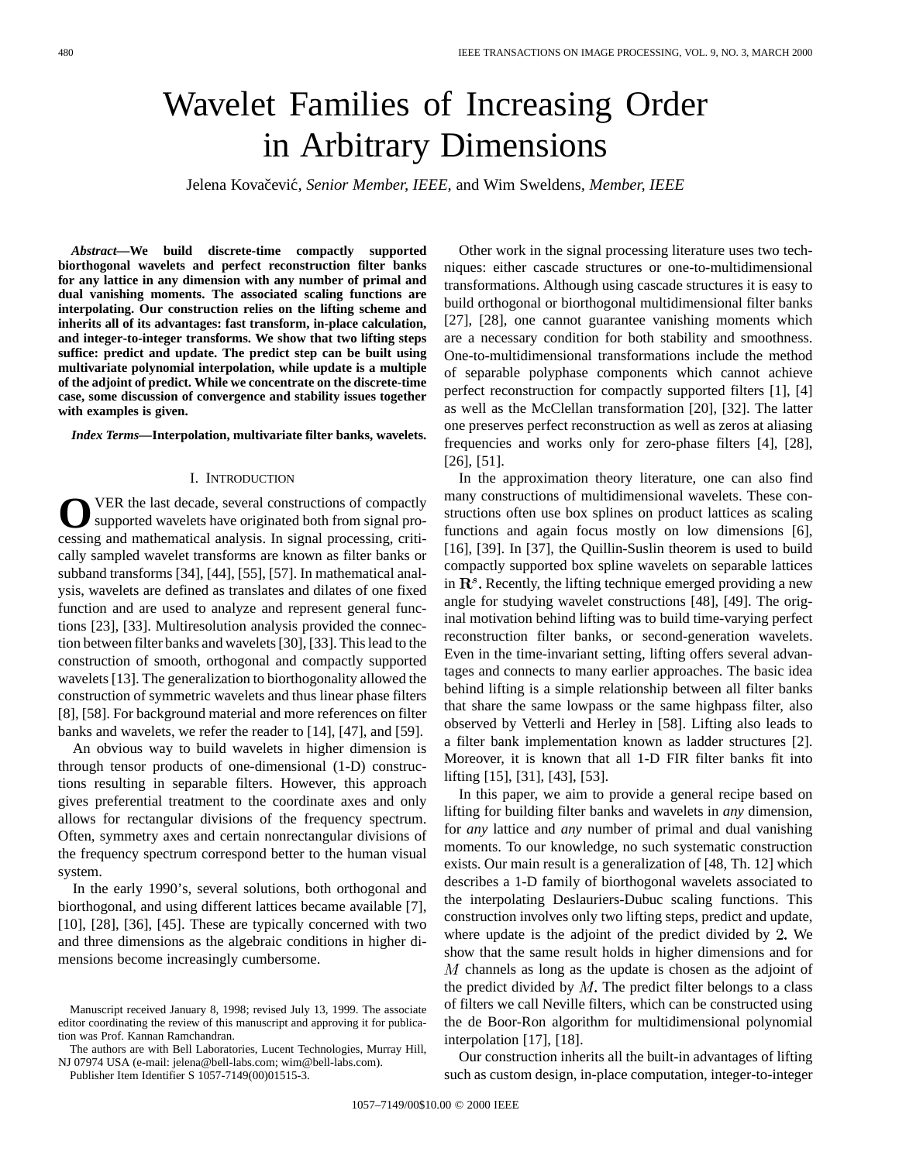# Wavelet Families of Increasing Order in Arbitrary Dimensions

Jelena Kovačević, Senior Member, IEEE, and Wim Sweldens, Member, IEEE

*Abstract—***We build discrete-time compactly supported biorthogonal wavelets and perfect reconstruction filter banks for any lattice in any dimension with any number of primal and dual vanishing moments. The associated scaling functions are interpolating. Our construction relies on the lifting scheme and inherits all of its advantages: fast transform, in-place calculation, and integer-to-integer transforms. We show that two lifting steps suffice: predict and update. The predict step can be built using multivariate polynomial interpolation, while update is a multiple of the adjoint of predict. While we concentrate on the discrete-time case, some discussion of convergence and stability issues together with examples is given.**

*Index Terms—***Interpolation, multivariate filter banks, wavelets.**

### I. INTRODUCTION

O VER the last decade, several constructions of compactly supported wavelets have originated both from signal processing and mathematical analysis. In signal processing, critically sampled wavelet transforms are known as filter banks or subband transforms [34], [44], [55], [57]. In mathematical analysis, wavelets are defined as translates and dilates of one fixed function and are used to analyze and represent general functions [23], [33]. Multiresolution analysis provided the connection between filter banks and wavelets [30], [33]. This lead to the construction of smooth, orthogonal and compactly supported wavelets [13]. The generalization to biorthogonality allowed the construction of symmetric wavelets and thus linear phase filters [8], [58]. For background material and more references on filter banks and wavelets, we refer the reader to [14], [47], and [59].

An obvious way to build wavelets in higher dimension is through tensor products of one-dimensional (1-D) constructions resulting in separable filters. However, this approach gives preferential treatment to the coordinate axes and only allows for rectangular divisions of the frequency spectrum. Often, symmetry axes and certain nonrectangular divisions of the frequency spectrum correspond better to the human visual system.

In the early 1990's, several solutions, both orthogonal and biorthogonal, and using different lattices became available [7], [10], [28], [36], [45]. These are typically concerned with two and three dimensions as the algebraic conditions in higher dimensions become increasingly cumbersome.

The authors are with Bell Laboratories, Lucent Technologies, Murray Hill, NJ 07974 USA (e-mail: jelena@bell-labs.com; wim@bell-labs.com).

Publisher Item Identifier S 1057-7149(00)01515-3.

Other work in the signal processing literature uses two techniques: either cascade structures or one-to-multidimensional transformations. Although using cascade structures it is easy to build orthogonal or biorthogonal multidimensional filter banks [27], [28], one cannot guarantee vanishing moments which are a necessary condition for both stability and smoothness. One-to-multidimensional transformations include the method of separable polyphase components which cannot achieve perfect reconstruction for compactly supported filters [1], [4] as well as the McClellan transformation [20], [32]. The latter one preserves perfect reconstruction as well as zeros at aliasing frequencies and works only for zero-phase filters [4], [28], [26], [51].

In the approximation theory literature, one can also find many constructions of multidimensional wavelets. These constructions often use box splines on product lattices as scaling functions and again focus mostly on low dimensions [6], [16], [39]. In [37], the Quillin-Suslin theorem is used to build compactly supported box spline wavelets on separable lattices in  $\mathbb{R}^s$ . Recently, the lifting technique emerged providing a new angle for studying wavelet constructions [48], [49]. The original motivation behind lifting was to build time-varying perfect reconstruction filter banks, or second-generation wavelets. Even in the time-invariant setting, lifting offers several advantages and connects to many earlier approaches. The basic idea behind lifting is a simple relationship between all filter banks that share the same lowpass or the same highpass filter, also observed by Vetterli and Herley in [58]. Lifting also leads to a filter bank implementation known as ladder structures [2]. Moreover, it is known that all 1-D FIR filter banks fit into lifting [15], [31], [43], [53].

In this paper, we aim to provide a general recipe based on lifting for building filter banks and wavelets in *any* dimension, for *any* lattice and *any* number of primal and dual vanishing moments. To our knowledge, no such systematic construction exists. Our main result is a generalization of [48, Th. 12] which describes a 1-D family of biorthogonal wavelets associated to the interpolating Deslauriers-Dubuc scaling functions. This construction involves only two lifting steps, predict and update, where update is the adjoint of the predict divided by  $2$ . We show that the same result holds in higher dimensions and for  $M$  channels as long as the update is chosen as the adjoint of the predict divided by  $M$ . The predict filter belongs to a class of filters we call Neville filters, which can be constructed using the de Boor-Ron algorithm for multidimensional polynomial interpolation [17], [18].

Our construction inherits all the built-in advantages of lifting such as custom design, in-place computation, integer-to-integer

Manuscript received January 8, 1998; revised July 13, 1999. The associate editor coordinating the review of this manuscript and approving it for publication was Prof. Kannan Ramchandran.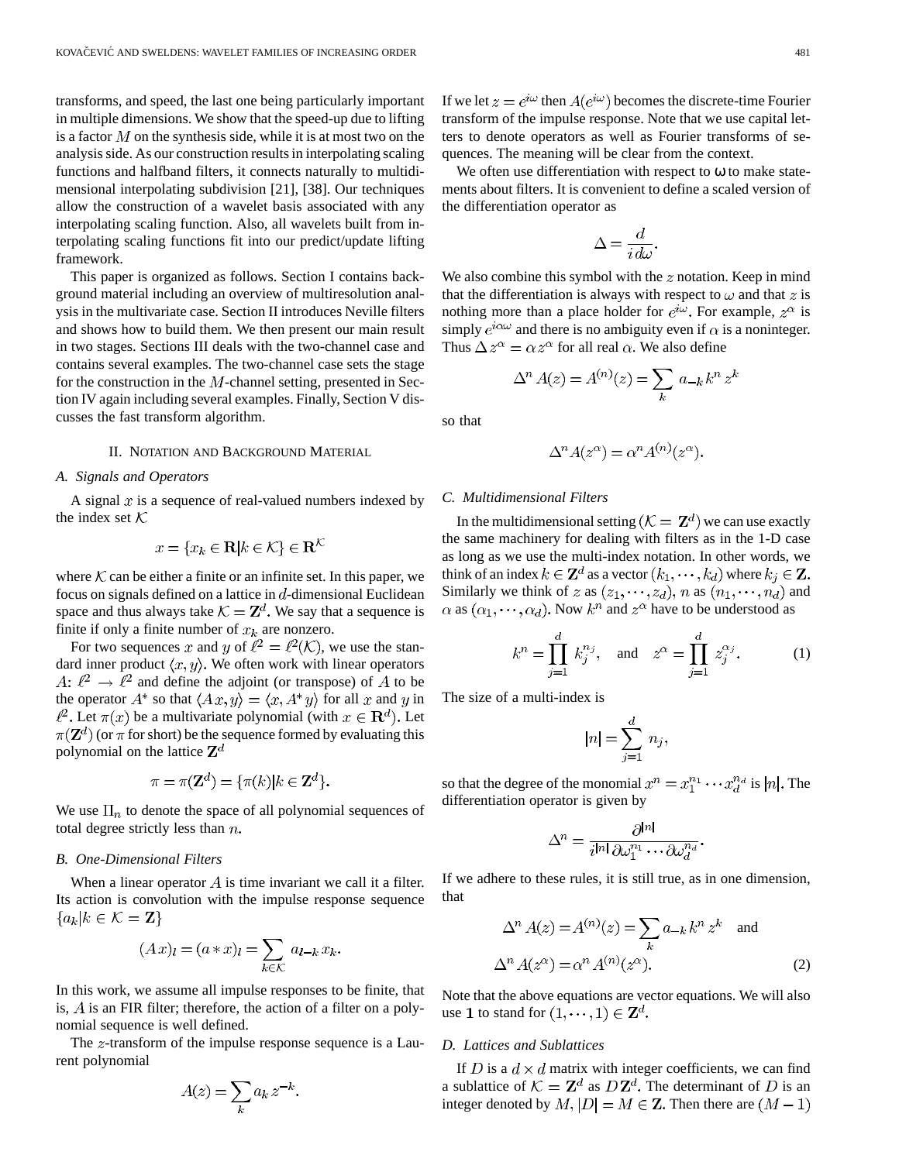transforms, and speed, the last one being particularly important in multiple dimensions. We show that the speed-up due to lifting is a factor  $M$  on the synthesis side, while it is at most two on the analysis side. As our construction results in interpolating scaling functions and halfband filters, it connects naturally to multidimensional interpolating subdivision [21], [38]. Our techniques allow the construction of a wavelet basis associated with any interpolating scaling function. Also, all wavelets built from interpolating scaling functions fit into our predict/update lifting framework.

This paper is organized as follows. Section I contains background material including an overview of multiresolution analysis in the multivariate case. Section II introduces Neville filters and shows how to build them. We then present our main result in two stages. Sections III deals with the two-channel case and contains several examples. The two-channel case sets the stage for the construction in the  $M$ -channel setting, presented in Section IV again including several examples. Finally, Section V discusses the fast transform algorithm.

# II. NOTATION AND BACKGROUND MATERIAL

# *A. Signals and Operators*

A signal  $x$  is a sequence of real-valued numbers indexed by the index set  $K$ 

$$
x = \{x_k \in \mathbf{R} | k \in \mathcal{K}\} \in \mathbf{R}^{\mathcal{K}}
$$

where  $\mathcal K$  can be either a finite or an infinite set. In this paper, we focus on signals defined on a lattice in  $d$ -dimensional Euclidean space and thus always take  $K = \mathbb{Z}^d$ . We say that a sequence is finite if only a finite number of  $x_k$  are nonzero.

For two sequences x and y of  $\ell^2 = \ell^2(\mathcal{K})$ , we use the standard inner product  $\langle x, y \rangle$ . We often work with linear operators A:  $\ell^2 \to \ell^2$  and define the adjoint (or transpose) of A to be the operator  $A^*$  so that  $\langle Ax, y \rangle = \langle x, A^* y \rangle$  for all x and y in  $\ell^2$ . Let  $\pi(x)$  be a multivariate polynomial (with  $x \in \mathbf{R}^d$ ). Let  $\pi(\mathbf{Z}^d)$  (or  $\pi$  for short) be the sequence formed by evaluating this polynomial on the lattice  $\mathbf{Z}^{d}$ 

$$
\pi = \pi(\mathbf{Z}^d) = \{\pi(k) | k \in \mathbf{Z}^d\}.
$$

We use  $\Pi_n$  to denote the space of all polynomial sequences of total degree strictly less than  $n$ .

#### *B. One-Dimensional Filters*

When a linear operator  $\tilde{A}$  is time invariant we call it a filter. Its action is convolution with the impulse response sequence  ${a_k|k \in \mathcal{K} = \mathbf{Z}}$ 

$$
(Ax)_l = (a * x)_l = \sum_{k \in \mathcal{K}} a_{l-k} x_k.
$$

In this work, we assume all impulse responses to be finite, that is,  $A$  is an FIR filter; therefore, the action of a filter on a polynomial sequence is well defined.

The  $z$ -transform of the impulse response sequence is a Laurent polynomial

$$
A(z) = \sum_{k} a_k z^{-k}.
$$

If we let  $z = e^{i\omega}$  then  $A(e^{i\omega})$  becomes the discrete-time Fourier transform of the impulse response. Note that we use capital letters to denote operators as well as Fourier transforms of sequences. The meaning will be clear from the context.

We often use differentiation with respect to  $\omega$  to make statements about filters. It is convenient to define a scaled version of the differentiation operator as

$$
\Delta = \frac{d}{i \, d\omega}.
$$

We also combine this symbol with the  $z$  notation. Keep in mind that the differentiation is always with respect to  $\omega$  and that z is nothing more than a place holder for  $e^{i\omega}$ . For example,  $z^{\alpha}$  is simply  $e^{i\alpha\omega}$  and there is no ambiguity even if  $\alpha$  is a noninteger. Thus  $\Delta z^{\alpha} = \alpha z^{\alpha}$  for all real  $\alpha$ . We also define

$$
\Delta^n A(z) = A^{(n)}(z) = \sum_k a_{-k} k^n z^k
$$

so that

$$
\Delta^n A(z^{\alpha}) = \alpha^n A^{(n)}(z^{\alpha}).
$$

## *C. Multidimensional Filters*

In the multidimensional setting  $(\mathcal{K} = \mathbf{Z}^d)$  we can use exactly the same machinery for dealing with filters as in the 1-D case as long as we use the multi-index notation. In other words, we think of an index  $k \in \mathbb{Z}^d$  as a vector  $(k_1, \dots, k_d)$  where  $k_i \in \mathbb{Z}$ . Similarly we think of z as  $(z_1, \dots, z_d)$ , n as  $(n_1, \dots, n_d)$  and  $\alpha$  as  $(\alpha_1, \dots, \alpha_d)$ . Now  $k^n$  and  $z^{\alpha}$  have to be understood as

$$
k^n = \prod_{j=1}^d k_j^{n_j}
$$
, and  $z^\alpha = \prod_{j=1}^d z_j^{\alpha_j}$ . (1)

The size of a multi-index is

$$
|n| = \sum_{j=1}^d n_j,
$$

so that the degree of the monomial  $x^n = x_1^{n_1} \cdots x_d^{n_d}$  is |n|. The differentiation operator is given by

$$
\Delta^n = \frac{\partial^{|n|}}{i^{|n|}\,\partial\omega_1^{n_1}\cdots\partial\omega_d^{n_d}}.
$$

If we adhere to these rules, it is still true, as in one dimension, that

$$
\Delta^n A(z) = A^{(n)}(z) = \sum_k a_{-k} k^n z^k \text{ and}
$$

$$
\Delta^n A(z^{\alpha}) = \alpha^n A^{(n)}(z^{\alpha}).
$$
 (2)

Note that the above equations are vector equations. We will also use 1 to stand for  $(1, \dots, 1) \in \mathbb{Z}^d$ .

## *D. Lattices and Sublattices*

If D is a  $d \times d$  matrix with integer coefficients, we can find a sublattice of  $\mathcal{K} = \mathbf{Z}^d$  as  $D\mathbf{Z}^d$ . The determinant of D is an integer denoted by  $M$ ,  $|D| = M \in \mathbb{Z}$ . Then there are  $(M - 1)$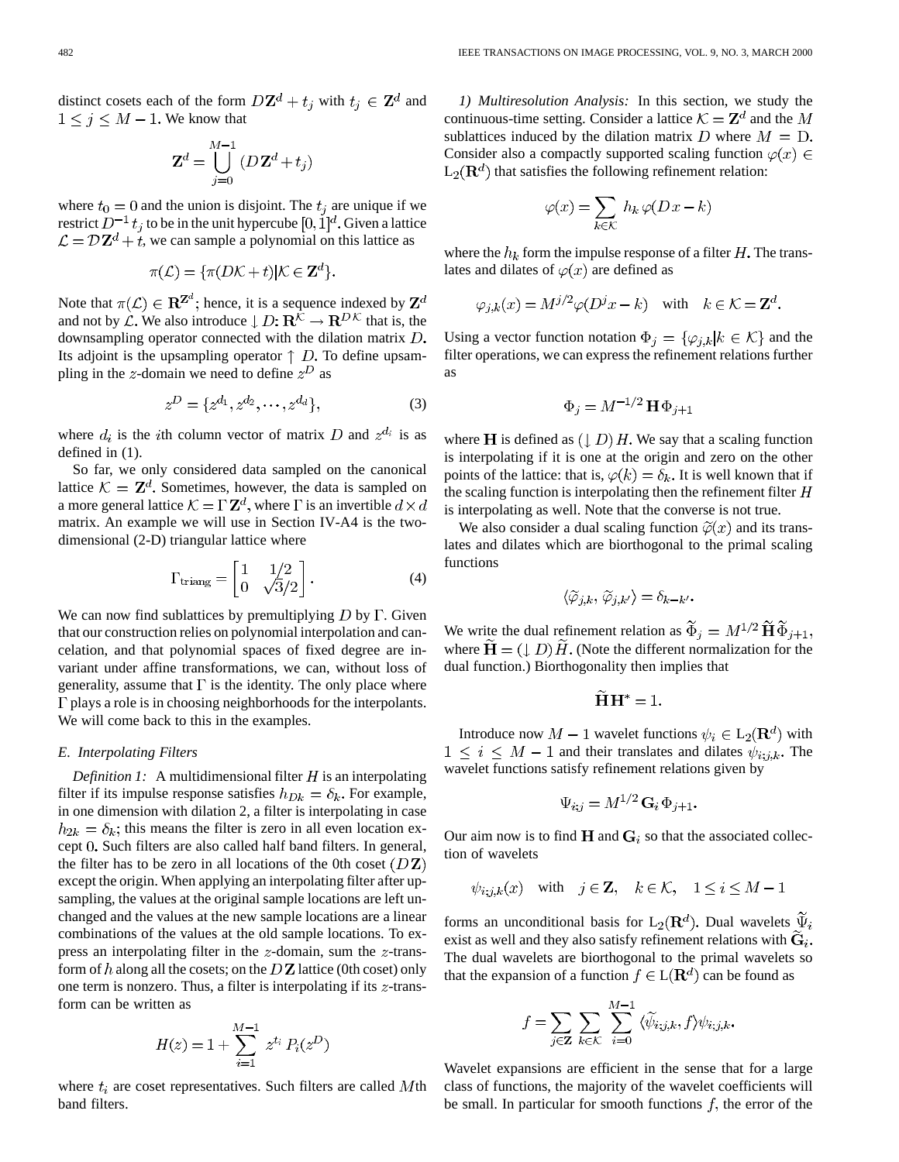distinct cosets each of the form  $D\mathbf{Z}^d + t_i$  with  $t_i \in \mathbf{Z}^d$  and  $1 \leq j \leq M - 1$ . We know that

$$
\mathbf{Z}^d = \bigcup_{j=0}^{M-1} \left( D\, \mathbf{Z}^d + t_j \right)
$$

where  $t_0 = 0$  and the union is disjoint. The  $t_j$  are unique if we restrict  $D^{-1} t_i$  to be in the unit hypercube  $[0, 1]^d$ . Given a lattice  $\mathcal{L} = \mathcal{D} \mathbf{Z}^d + t$ , we can sample a polynomial on this lattice as

$$
\pi(\mathcal{L}) = \{\pi(D\mathcal{K} + t)|\mathcal{K} \in \mathbf{Z}^d\}.
$$

Note that  $\pi(\mathcal{L}) \in \mathbb{R}^{\mathbb{Z}^d}$ ; hence, it is a sequence indexed by  $\mathbb{Z}^d$ and not by  $\mathcal{L}$ . We also introduce  $\downarrow$   $D: \mathbb{R}^{\hat{\mathcal{K}}} \to \mathbb{R}^{D\mathcal{K}}$  that is, the downsampling operator connected with the dilation matrix  $D$ . Its adjoint is the upsampling operator  $\uparrow$  D. To define upsampling in the z-domain we need to define  $z^D$  as

$$
z^{D} = \{z^{d_1}, z^{d_2}, \cdots, z^{d_d}\},\tag{3}
$$

where  $d_i$  is the *i*th column vector of matrix D and  $z^{d_i}$  is as defined in (1).

So far, we only considered data sampled on the canonical lattice  $\mathcal{K} = \mathbb{Z}^d$ . Sometimes, however, the data is sampled on a more general lattice  $\mathcal{K} = \Gamma \mathbf{Z}^d$ , where  $\Gamma$  is an invertible  $d \times d$ matrix. An example we will use in Section IV-A4 is the twodimensional (2-D) triangular lattice where

$$
\Gamma_{\text{triang}} = \begin{bmatrix} 1 & 1/2 \\ 0 & \sqrt{3}/2 \end{bmatrix} . \tag{4}
$$

We can now find sublattices by premultiplying  $D$  by  $\Gamma$ . Given that our construction relies on polynomial interpolation and cancelation, and that polynomial spaces of fixed degree are invariant under affine transformations, we can, without loss of generality, assume that  $\Gamma$  is the identity. The only place where  $\Gamma$  plays a role is in choosing neighborhoods for the interpolants. We will come back to this in the examples.

# *E. Interpolating Filters*

*Definition 1:* A multidimensional filter  $H$  is an interpolating filter if its impulse response satisfies  $h_{Dk} = \delta_k$ . For example, in one dimension with dilation 2, a filter is interpolating in case  $h_{2k} = \delta_k$ ; this means the filter is zero in all even location except 0. Such filters are also called half band filters. In general, the filter has to be zero in all locations of the 0th coset  $(DZ)$ except the origin. When applying an interpolating filter after upsampling, the values at the original sample locations are left unchanged and the values at the new sample locations are a linear combinations of the values at the old sample locations. To express an interpolating filter in the  $z$ -domain, sum the  $z$ -transform of h along all the cosets; on the  $DZ$  lattice (0th coset) only one term is nonzero. Thus, a filter is interpolating if its  $z$ -transform can be written as

$$
H(z) = 1 + \sum_{i=1}^{M-1} z^{t_i} P_i(z^D)
$$

where  $t_i$  are coset representatives. Such filters are called Mth band filters.

*1) Multiresolution Analysis:* In this section, we study the continuous-time setting. Consider a lattice  $K = \mathbb{Z}^d$  and the M sublattices induced by the dilation matrix  $D$  where  $M = D$ . Consider also a compactly supported scaling function  $\varphi(x) \in$  $L_2(\mathbf{R}^d)$  that satisfies the following refinement relation:

$$
\varphi(x) = \sum_{k \in \mathcal{K}} h_k \, \varphi(D \, x - k)
$$

where the  $h_k$  form the impulse response of a filter  $H$ . The translates and dilates of  $\varphi(x)$  are defined as

$$
\varphi_{j,k}(x) = M^{j/2} \varphi(D^j x - k)
$$
 with  $k \in \mathcal{K} = \mathbb{Z}^d$ .

Using a vector function notation  $\Phi_j = {\{\varphi_{j,k} | k \in \mathcal{K}\}}$  and the filter operations, we can express the refinement relations further as

$$
\Phi_j = M^{-1/2} \mathbf{H} \Phi_{j+1}
$$

where **H** is defined as  $(1, D)$  H. We say that a scaling function is interpolating if it is one at the origin and zero on the other points of the lattice: that is,  $\varphi(k) = \delta_k$ . It is well known that if the scaling function is interpolating then the refinement filter  $H$ is interpolating as well. Note that the converse is not true.

We also consider a dual scaling function  $\widetilde{\varphi}(x)$  and its translates and dilates which are biorthogonal to the primal scaling functions

$$
\langle \widetilde{\varphi}_{j,k}, \widetilde{\varphi}_{j,k'} \rangle = \delta_{k-k'}.
$$

We write the dual refinement relation as  $\widetilde{\Phi}_j = M^{1/2} \widetilde{H} \widetilde{\Phi}_{j+1}$ , where  $H = (\downarrow D) H$ . (Note the different normalization for the dual function.) Biorthogonality then implies that

$$
\mathbf{H}\mathbf{H}^* = 1.
$$

Introduce now  $M-1$  wavelet functions  $\psi_i \in L_2(\mathbf{R}^d)$  with  $1 \leq i \leq M-1$  and their translates and dilates  $\psi_{i,j,k}$ . The wavelet functions satisfy refinement relations given by

$$
\Psi_{i;j} = M^{1/2} \mathbf{G}_i \, \Phi_{j+1}
$$

Our aim now is to find  $H$  and  $G_i$  so that the associated collection of wavelets

$$
\psi_{i,j,k}(x)
$$
 with  $j \in \mathbb{Z}$ ,  $k \in \mathcal{K}$ ,  $1 \leq i \leq M-1$ 

forms an unconditional basis for L<sub>2</sub>( $\mathbf{R}^d$ ). Dual wavelets  $\tilde{\Psi}_i$ exist as well and they also satisfy refinement relations with  $\widetilde{\mathbf{G}}_{i}$ . The dual wavelets are biorthogonal to the primal wavelets so that the expansion of a function  $f \in L(\mathbf{R}^d)$  can be found as

$$
f = \sum_{j \in \mathbf{Z}} \sum_{k \in \mathcal{K}} \sum_{i=0}^{M-1} \langle \widetilde{\psi}_{i;j,k}, f \rangle \psi_{i;j,k}
$$

Wavelet expansions are efficient in the sense that for a large class of functions, the majority of the wavelet coefficients will be small. In particular for smooth functions  $f$ , the error of the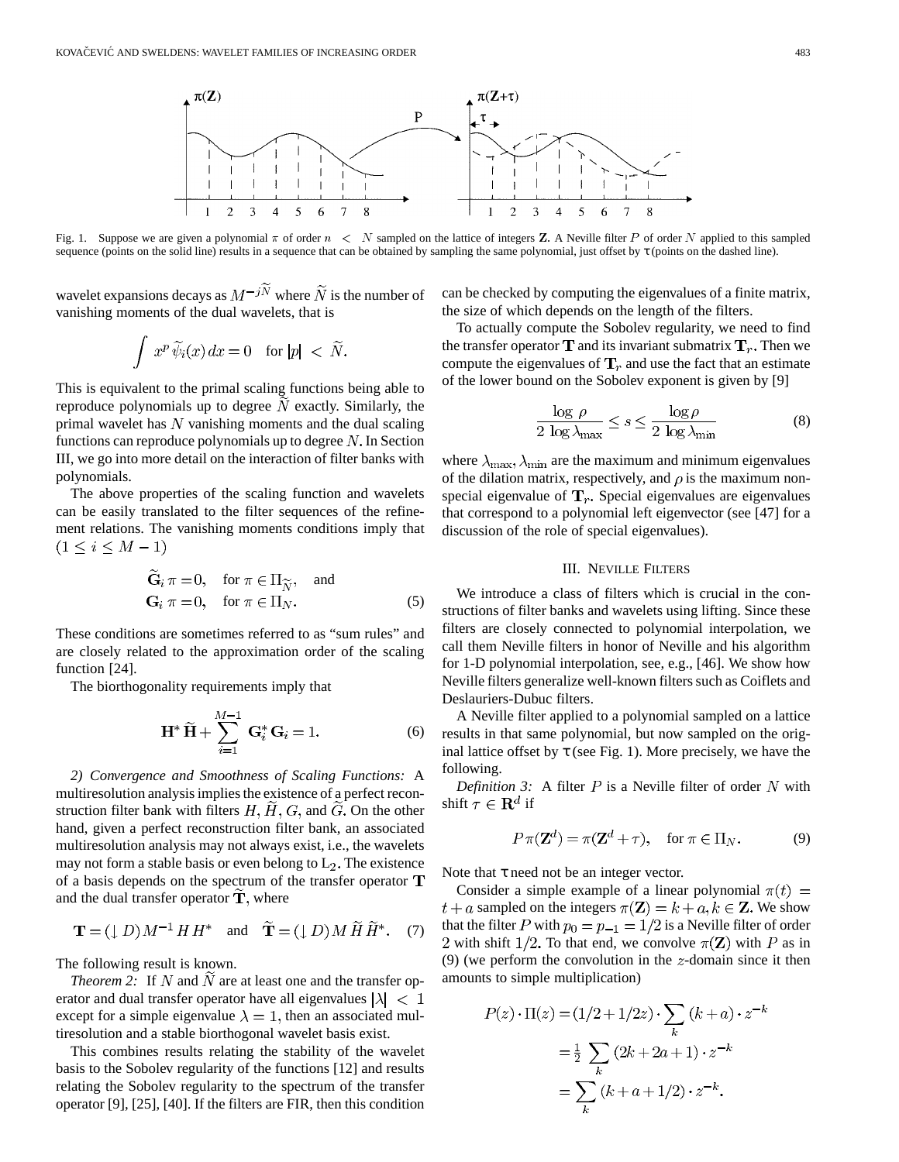

Fig. 1. Suppose we are given a polynomial  $\pi$  of order  $n < N$  sampled on the lattice of integers Z. A Neville filter P of order N applied to this sampled sequence (points on the solid line) results in a sequence that can be obtained by sampling the same polynomial, just offset by τ (points on the dashed line).

wavelet expansions decays as  $M^{-j\tilde{N}}$  where  $\tilde{N}$  is the number of vanishing moments of the dual wavelets, that is

$$
\int x^p \widetilde{\psi}_i(x) dx = 0 \quad \text{for } |p| < \widetilde{N}.
$$

U

This is equivalent to the primal scaling functions being able to reproduce polynomials up to degree  $N$  exactly. Similarly, the primal wavelet has  $N$  vanishing moments and the dual scaling functions can reproduce polynomials up to degree  $N$ . In Section III, we go into more detail on the interaction of filter banks with polynomials.

The above properties of the scaling function and wavelets can be easily translated to the filter sequences of the refinement relations. The vanishing moments conditions imply that  $(1 \le i \le M - 1)$ 

$$
\tilde{\mathbf{G}}_i \pi = 0, \quad \text{for } \pi \in \Pi_{\widetilde{N}}, \quad \text{and}
$$
  
\n
$$
\mathbf{G}_i \pi = 0, \quad \text{for } \pi \in \Pi_N.
$$
 (5)

These conditions are sometimes referred to as "sum rules" and are closely related to the approximation order of the scaling function [24].

The biorthogonality requirements imply that

$$
\mathbf{H}^* \widetilde{\mathbf{H}} + \sum_{i=1}^{M-1} \mathbf{G}_i^* \mathbf{G}_i = 1.
$$
 (6)

*2) Convergence and Smoothness of Scaling Functions:* A multiresolution analysis implies the existence of a perfect reconstruction filter bank with filters  $H, \tilde{H}, G$ , and  $\tilde{G}$ . On the other hand, given a perfect reconstruction filter bank, an associated multiresolution analysis may not always exist, i.e., the wavelets may not form a stable basis or even belong to  $L_2$ . The existence of a basis depends on the spectrum of the transfer operator  $\mathbf T$ and the dual transfer operator  $T$ , where

$$
\mathbf{T} = (\downarrow D) M^{-1} H H^* \quad \text{and} \quad \widetilde{\mathbf{T}} = (\downarrow D) M \widetilde{H} \widetilde{H}^* . \quad (7)
$$

The following result is known.

*Theorem 2:* If  $N$  and  $N$  are at least one and the transfer operator and dual transfer operator have all eigenvalues  $|\lambda| < 1$ except for a simple eigenvalue  $\lambda = 1$ , then an associated multiresolution and a stable biorthogonal wavelet basis exist.

This combines results relating the stability of the wavelet basis to the Sobolev regularity of the functions [12] and results relating the Sobolev regularity to the spectrum of the transfer operator [9], [25], [40]. If the filters are FIR, then this condition can be checked by computing the eigenvalues of a finite matrix, the size of which depends on the length of the filters.

To actually compute the Sobolev regularity, we need to find the transfer operator  $T$  and its invariant submatrix  $T_r$ . Then we compute the eigenvalues of  $T_r$  and use the fact that an estimate of the lower bound on the Sobolev exponent is given by [9]

$$
\frac{\log \rho}{2 \log \lambda_{\max}} \le s \le \frac{\log \rho}{2 \log \lambda_{\min}} \tag{8}
$$

where  $\lambda_{\text{max}}, \lambda_{\text{min}}$  are the maximum and minimum eigenvalues of the dilation matrix, respectively, and  $\rho$  is the maximum nonspecial eigenvalue of  $T_r$ . Special eigenvalues are eigenvalues that correspond to a polynomial left eigenvector (see [47] for a discussion of the role of special eigenvalues).

## III. NEVILLE FILTERS

We introduce a class of filters which is crucial in the constructions of filter banks and wavelets using lifting. Since these filters are closely connected to polynomial interpolation, we call them Neville filters in honor of Neville and his algorithm for 1-D polynomial interpolation, see, e.g., [46]. We show how Neville filters generalize well-known filters such as Coiflets and Deslauriers-Dubuc filters.

A Neville filter applied to a polynomial sampled on a lattice results in that same polynomial, but now sampled on the original lattice offset by  $\tau$  (see Fig. 1). More precisely, we have the following.

*Definition 3:* A filter  $P$  is a Neville filter of order  $N$  with shift  $\tau \in \mathbf{R}^d$  if

$$
P \pi(\mathbf{Z}^d) = \pi(\mathbf{Z}^d + \tau), \quad \text{for } \pi \in \Pi_N.
$$
 (9)

Note that  $\tau$  need not be an integer vector.

Consider a simple example of a linear polynomial  $\pi(t)$  =  $t + a$  sampled on the integers  $\pi(\mathbf{Z}) = k + a, k \in \mathbf{Z}$ . We show that the filter P with  $p_0 = p_{-1} = 1/2$  is a Neville filter of order 2 with shift 1/2. To that end, we convolve  $\pi(\mathbf{Z})$  with P as in (9) (we perform the convolution in the  $z$ -domain since it then amounts to simple multiplication)

$$
P(z) \cdot \Pi(z) = (1/2 + 1/2z) \cdot \sum_{k} (k + a) \cdot z^{-k}
$$

$$
= \frac{1}{2} \sum_{k} (2k + 2a + 1) \cdot z^{-k}
$$

$$
= \sum_{k} (k + a + 1/2) \cdot z^{-k}.
$$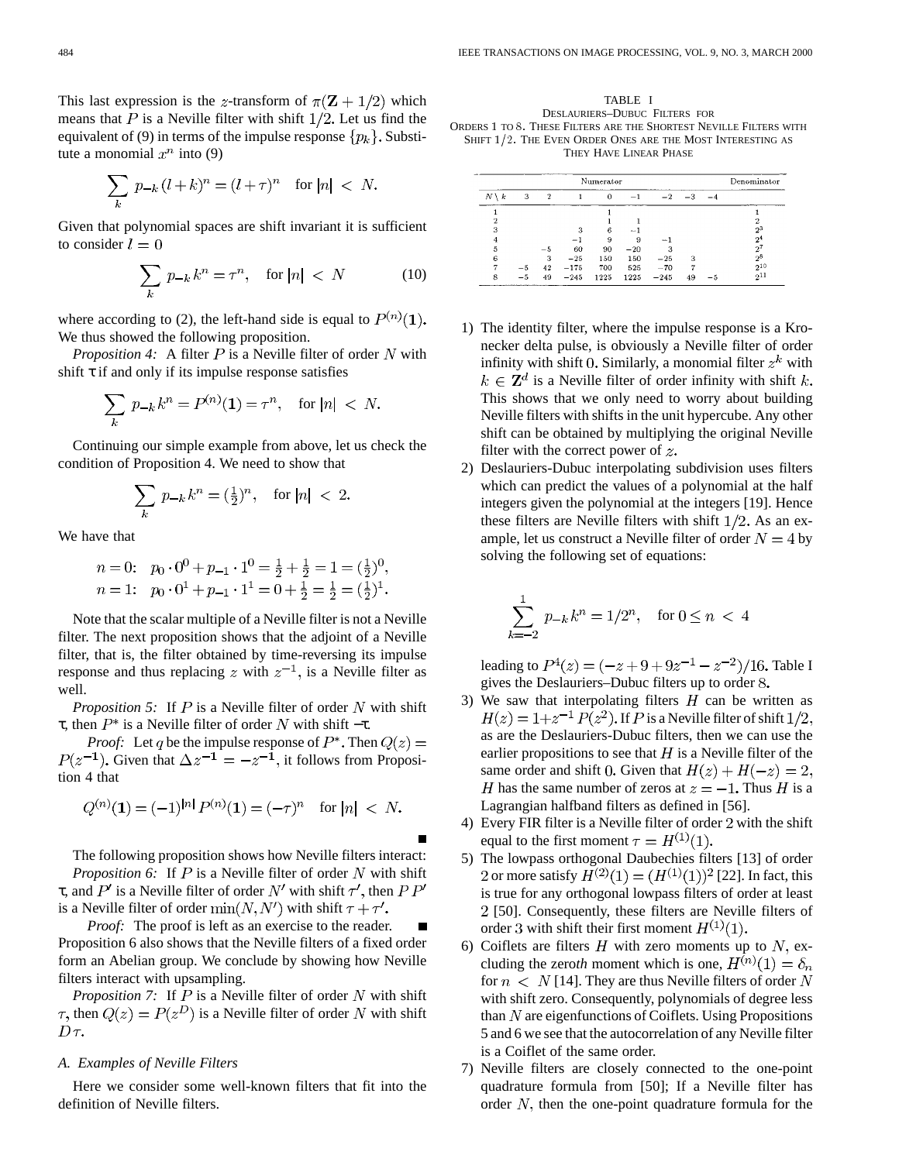This last expression is the z-transform of  $\pi(\mathbf{Z} + 1/2)$  which means that  $P$  is a Neville filter with shift  $1/2$ . Let us find the equivalent of (9) in terms of the impulse response  $\{p_k\}$ . Substitute a monomial  $x^n$  into (9)

$$
\sum_{k} p_{-k} (l+k)^n = (l+\tau)^n \quad \text{for } |n| \; < \; N.
$$

Given that polynomial spaces are shift invariant it is sufficient to consider  $l = 0$ 

$$
\sum_{k} p_{-k} k^{n} = \tau^{n}, \quad \text{for } |n| < N \tag{10}
$$

where according to (2), the left-hand side is equal to  $P^{(n)}(1)$ . We thus showed the following proposition.

*Proposition 4:* A filter  $P$  is a Neville filter of order  $N$  with shift  $\tau$  if and only if its impulse response satisfies

$$
\sum_{k} p_{-k} k^{n} = P^{(n)}(1) = \tau^{n}, \text{ for } |n| < N.
$$

Continuing our simple example from above, let us check the condition of Proposition 4. We need to show that

$$
\sum_k\ p_{-k}\,k^n=(\tfrac12)^n,\quad\text{for}\ |n|\,<\,2
$$

We have that

*n* = 0: 
$$
p_0 \cdot 0^0 + p_{-1} \cdot 1^0 = \frac{1}{2} + \frac{1}{2} = 1 = (\frac{1}{2})^0
$$
,  
\n*n* = 1:  $p_0 \cdot 0^1 + p_{-1} \cdot 1^1 = 0 + \frac{1}{2} = \frac{1}{2} = (\frac{1}{2})^1$ .

Note that the scalar multiple of a Neville filter is not a Neville filter. The next proposition shows that the adjoint of a Neville filter, that is, the filter obtained by time-reversing its impulse response and thus replacing z with  $z^{-1}$ , is a Neville filter as well.

*Proposition 5:* If  $P$  is a Neville filter of order  $N$  with shift τ, then  $P^*$  is a Neville filter of order N with shift  $-τ$ .

*Proof:* Let q be the impulse response of  $P^*$ . Then Given that  $\Delta z^{-1} = -z^{-1}$ , it follows from Proposition 4 that

$$
Q^{(n)}(\mathbf{1}) = (-1)^{|n|} P^{(n)}(\mathbf{1}) = (-\tau)^n \text{ for } |n| < N.
$$

The following proposition shows how Neville filters interact: *Proposition 6:* If  $P$  is a Neville filter of order  $N$  with shift τ, and  $P'$  is a Neville filter of order N' with shift  $τ'$ , then  $PP'$ is a Neville filter of order  $\min(N, N')$  with shift  $\tau + \tau'$ .

*Proof:* The proof is left as an exercise to the reader. Proposition 6 also shows that the Neville filters of a fixed order form an Abelian group. We conclude by showing how Neville filters interact with upsampling.

*Proposition 7:* If  $P$  is a Neville filter of order  $N$  with shift  $\tau$ , then  $Q(z) = P(z^D)$  is a Neville filter of order N with shift  $D\tau$ .

# *A. Examples of Neville Filters*

Here we consider some well-known filters that fit into the definition of Neville filters.

TABLE I DESLAURIERS–DUBUC FILTERS FOR ORDERS 1 TO 8: THESE FILTERS ARE THE SHORTEST NEVILLE FILTERS WITH SHIFT  $1/2$ . The Even Order Ones are the Most Interesting as THEY HAVE LINEAR PHASE

|                 | Denominator |    |        |          |       |                          |      |      |                |
|-----------------|-------------|----|--------|----------|-------|--------------------------|------|------|----------------|
| $N \setminus k$ | 3           | 2  |        | $\Omega$ | -1    | $-2$                     | $-3$ | $-4$ |                |
|                 |             |    |        |          |       |                          |      |      |                |
|                 |             |    |        |          |       |                          |      |      |                |
| 3               |             |    | 2      | 6        | -     |                          |      |      | $2^3$          |
|                 |             |    |        | 9        | я     | $\overline{\phantom{a}}$ |      |      | 2 <sup>4</sup> |
| 5               |             | -5 | 60     | 90       | $-20$ |                          |      |      | $2^{7}$        |
| 6               |             | 3  | $-25$  | 150      | 150   | $-25$                    | з    |      | $2^8$          |
|                 |             | 42 | $-175$ | 700      | 525   | $-70$                    |      |      | $2^{10}$       |
| 8               |             | 49 | $-245$ | 1225     | 1225  | $-245$                   | 49   |      | $2^{11}$       |

- 1) The identity filter, where the impulse response is a Kronecker delta pulse, is obviously a Neville filter of order infinity with shift 0. Similarly, a monomial filter  $z<sup>k</sup>$  with  $k \in \mathbb{Z}^d$  is a Neville filter of order infinity with shift k. This shows that we only need to worry about building Neville filters with shifts in the unit hypercube. Any other shift can be obtained by multiplying the original Neville filter with the correct power of  $z$ .
- 2) Deslauriers-Dubuc interpolating subdivision uses filters which can predict the values of a polynomial at the half integers given the polynomial at the integers [19]. Hence these filters are Neville filters with shift  $1/2$ . As an example, let us construct a Neville filter of order  $N = 4$  by solving the following set of equations:

$$
\sum_{k=-2}^{1} p_{-k} k^{n} = 1/2^{n}, \text{ for } 0 \le n < 4
$$

leading to  $P^4(z) = (-z + 9 + 9z^{-1} - z^{-2})/16$ . Table I gives the Deslauriers–Dubuc filters up to order

- 3) We saw that interpolating filters  $H$  can be written as  $H(z) = 1 + z^{-1} P(z^2)$ . If P is a Neville filter of shift 1/2, as are the Deslauriers-Dubuc filters, then we can use the earlier propositions to see that  $H$  is a Neville filter of the same order and shift 0. Given that  $H(z) + H(-z) = 2$ , H has the same number of zeros at  $z = -1$ . Thus H is a Lagrangian halfband filters as defined in [56].
- 4) Every FIR filter is a Neville filter of order  $2$  with the shift equal to the first moment  $\tau = H^{(1)}(1)$ .
- 5) The lowpass orthogonal Daubechies filters [13] of order 2 or more satisfy  $H^{(2)}(1) = (H^{(1)}(1))^2$  [22]. In fact, this is true for any orthogonal lowpass filters of order at least [50]. Consequently, these filters are Neville filters of order 3 with shift their first moment  $H^{(1)}(1)$ .
- 6) Coiflets are filters  $H$  with zero moments up to  $N$ , excluding the zeroth moment which is one,  $H^{(n)}(1) = \delta_n$ for  $n < N$  [14]. They are thus Neville filters of order N with shift zero. Consequently, polynomials of degree less than  $N$  are eigenfunctions of Coiflets. Using Propositions 5 and 6 we see that the autocorrelation of any Neville filter is a Coiflet of the same order.
- 7) Neville filters are closely connected to the one-point quadrature formula from [50]; If a Neville filter has order  $N$ , then the one-point quadrature formula for the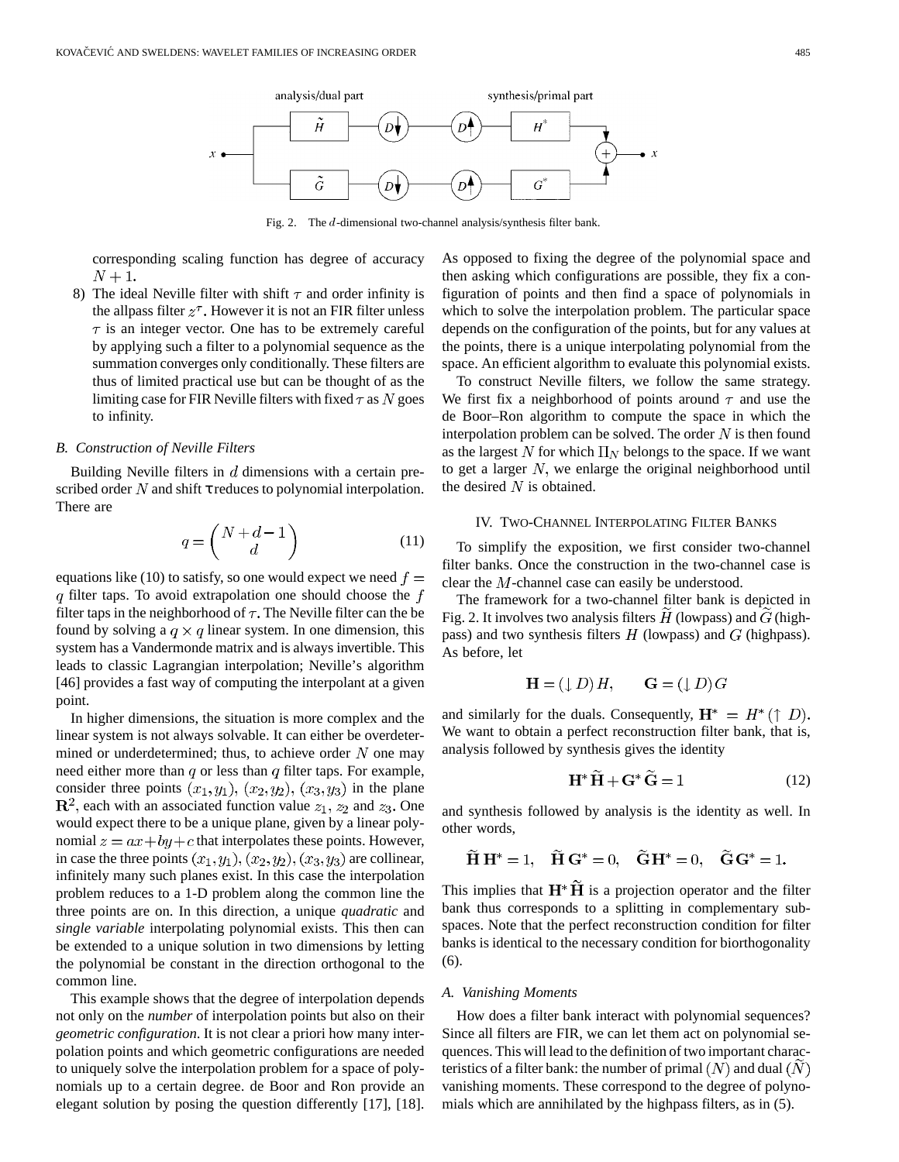

Fig. 2. The d-dimensional two-channel analysis/synthesis filter bank.

corresponding scaling function has degree of accuracy  $N+1$ .

8) The ideal Neville filter with shift  $\tau$  and order infinity is the allpass filter  $z^{\tau}$ . However it is not an FIR filter unless  $\tau$  is an integer vector. One has to be extremely careful by applying such a filter to a polynomial sequence as the summation converges only conditionally. These filters are thus of limited practical use but can be thought of as the limiting case for FIR Neville filters with fixed  $\tau$  as N goes to infinity.

## *B. Construction of Neville Filters*

Building Neville filters in  $d$  dimensions with a certain prescribed order  $N$  and shift  $\tau$  reduces to polynomial interpolation. There are

$$
q = \begin{pmatrix} N + d - 1 \\ d \end{pmatrix} \tag{11}
$$

equations like (10) to satisfy, so one would expect we need  $f =$ q filter taps. To avoid extrapolation one should choose the  $f$ filter taps in the neighborhood of  $\tau$ . The Neville filter can the be found by solving a  $q \times q$  linear system. In one dimension, this system has a Vandermonde matrix and is always invertible. This leads to classic Lagrangian interpolation; Neville's algorithm [46] provides a fast way of computing the interpolant at a given point.

In higher dimensions, the situation is more complex and the linear system is not always solvable. It can either be overdetermined or underdetermined; thus, to achieve order  $N$  one may need either more than  $q$  or less than  $q$  filter taps. For example, consider three points  $(x_1, y_1), (x_2, y_2), (x_3, y_3)$  in the plane  $\mathbb{R}^2$ , each with an associated function value  $z_1$ ,  $z_2$  and  $z_3$ . One would expect there to be a unique plane, given by a linear polynomial  $z = ax + by + c$  that interpolates these points. However, in case the three points  $(x_1, y_1), (x_2, y_2), (x_3, y_3)$  are collinear, infinitely many such planes exist. In this case the interpolation problem reduces to a 1-D problem along the common line the three points are on. In this direction, a unique *quadratic* and *single variable* interpolating polynomial exists. This then can be extended to a unique solution in two dimensions by letting the polynomial be constant in the direction orthogonal to the common line.

This example shows that the degree of interpolation depends not only on the *number* of interpolation points but also on their *geometric configuration*. It is not clear a priori how many interpolation points and which geometric configurations are needed to uniquely solve the interpolation problem for a space of polynomials up to a certain degree. de Boor and Ron provide an elegant solution by posing the question differently [17], [18]. As opposed to fixing the degree of the polynomial space and then asking which configurations are possible, they fix a configuration of points and then find a space of polynomials in which to solve the interpolation problem. The particular space depends on the configuration of the points, but for any values at the points, there is a unique interpolating polynomial from the space. An efficient algorithm to evaluate this polynomial exists.

To construct Neville filters, we follow the same strategy. We first fix a neighborhood of points around  $\tau$  and use the de Boor–Ron algorithm to compute the space in which the interpolation problem can be solved. The order  $N$  is then found as the largest N for which  $\Pi_N$  belongs to the space. If we want to get a larger  $N$ , we enlarge the original neighborhood until the desired  $N$  is obtained.

# IV. TWO-CHANNEL INTERPOLATING FILTER BANKS

To simplify the exposition, we first consider two-channel filter banks. Once the construction in the two-channel case is clear the  $M$ -channel case can easily be understood.

The framework for a two-channel filter bank is depicted in Fig. 2. It involves two analysis filters  $\hat{H}$  (lowpass) and  $\hat{G}$  (highpass) and two synthesis filters  $H$  (lowpass) and  $G$  (highpass). As before, let

$$
\mathbf{H} = (\downarrow D)H, \qquad \mathbf{G} = (\downarrow D)G
$$

and similarly for the duals. Consequently,  $\mathbf{H}^* = H^*(\uparrow D)$ . We want to obtain a perfect reconstruction filter bank, that is, analysis followed by synthesis gives the identity

$$
\mathbf{H}^* \tilde{\mathbf{H}} + \mathbf{G}^* \tilde{\mathbf{G}} = 1 \tag{12}
$$

and synthesis followed by analysis is the identity as well. In other words,

$$
\widetilde{H} H^* = 1, \quad \widetilde{H} G^* = 0, \quad \widetilde{G} H^* = 0, \quad \widetilde{G} G^* = 1.
$$

This implies that  $\mathbf{H}^* \tilde{\mathbf{H}}$  is a projection operator and the filter bank thus corresponds to a splitting in complementary subspaces. Note that the perfect reconstruction condition for filter banks is identical to the necessary condition for biorthogonality (6).

#### *A. Vanishing Moments*

How does a filter bank interact with polynomial sequences? Since all filters are FIR, we can let them act on polynomial sequences. This will lead to the definition of two important characteristics of a filter bank: the number of primal  $(N)$  and dual  $(N)$ vanishing moments. These correspond to the degree of polynomials which are annihilated by the highpass filters, as in (5).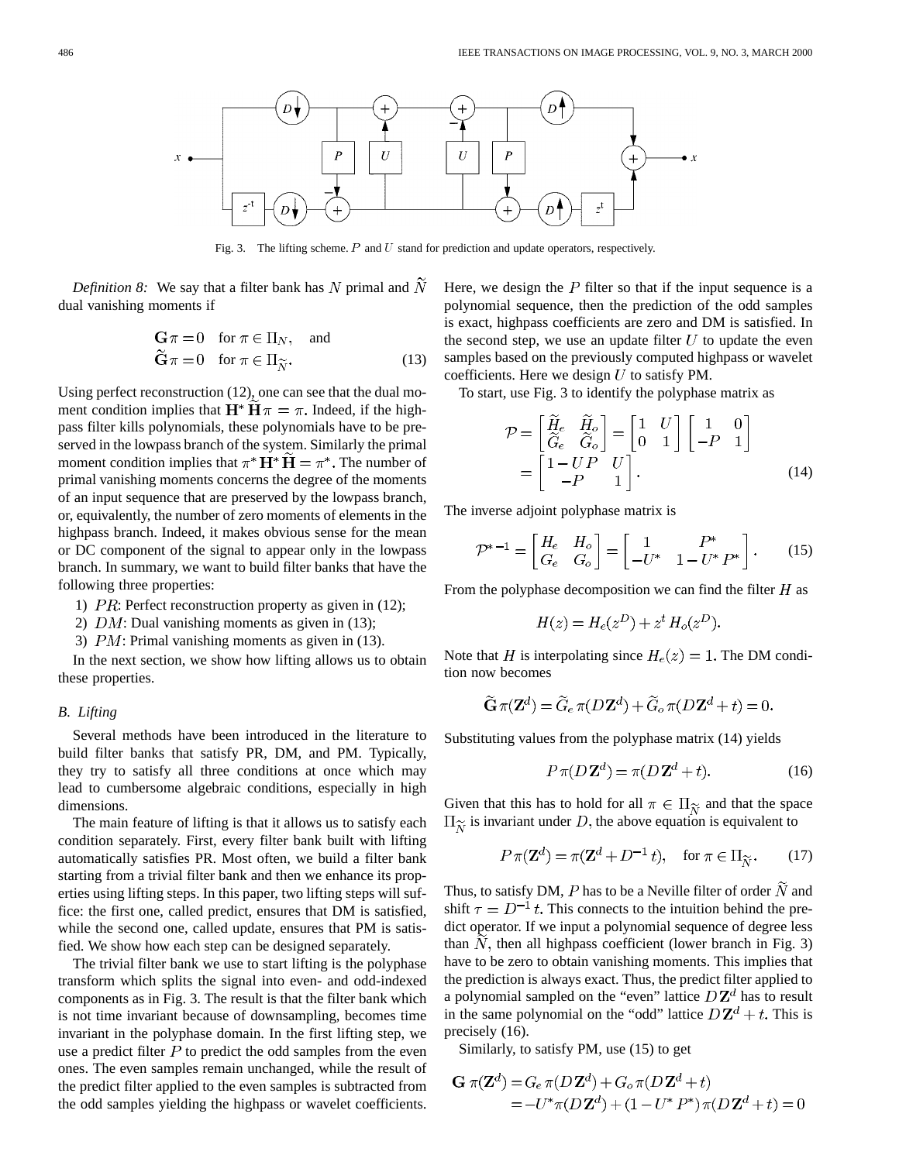

Fig. 3. The lifting scheme.  $P$  and  $U$  stand for prediction and update operators, respectively.

*Definition 8:* We say that a filter bank has  $N$  primal and  $\overline{N}$ dual vanishing moments if

$$
\begin{aligned}\n\mathbf{G} \pi &= 0 \quad \text{for } \pi \in \Pi_N, \quad \text{and} \\
\widetilde{\mathbf{G}} \pi &= 0 \quad \text{for } \pi \in \Pi_{\widetilde{N}}.\n\end{aligned} \tag{13}
$$

Using perfect reconstruction (12), one can see that the dual moment condition implies that  $\mathbf{H}^* \mathbf{H} \pi = \pi$ . Indeed, if the highpass filter kills polynomials, these polynomials have to be preserved in the lowpass branch of the system. Similarly the primal moment condition implies that  $\pi^* H^* H = \pi^*$ . The number of primal vanishing moments concerns the degree of the moments of an input sequence that are preserved by the lowpass branch, or, equivalently, the number of zero moments of elements in the highpass branch. Indeed, it makes obvious sense for the mean or DC component of the signal to appear only in the lowpass branch. In summary, we want to build filter banks that have the following three properties:

- 1)  $PR$ : Perfect reconstruction property as given in (12);
- 2)  $DM:$  Dual vanishing moments as given in (13);
- 3)  $PM$ : Primal vanishing moments as given in (13).

In the next section, we show how lifting allows us to obtain these properties.

#### *B. Lifting*

Several methods have been introduced in the literature to build filter banks that satisfy PR, DM, and PM. Typically, they try to satisfy all three conditions at once which may lead to cumbersome algebraic conditions, especially in high dimensions.

The main feature of lifting is that it allows us to satisfy each condition separately. First, every filter bank built with lifting automatically satisfies PR. Most often, we build a filter bank starting from a trivial filter bank and then we enhance its properties using lifting steps. In this paper, two lifting steps will suffice: the first one, called predict, ensures that DM is satisfied, while the second one, called update, ensures that PM is satisfied. We show how each step can be designed separately.

The trivial filter bank we use to start lifting is the polyphase transform which splits the signal into even- and odd-indexed components as in Fig. 3. The result is that the filter bank which is not time invariant because of downsampling, becomes time invariant in the polyphase domain. In the first lifting step, we use a predict filter  $P$  to predict the odd samples from the even ones. The even samples remain unchanged, while the result of the predict filter applied to the even samples is subtracted from the odd samples yielding the highpass or wavelet coefficients. Here, we design the  $P$  filter so that if the input sequence is a polynomial sequence, then the prediction of the odd samples is exact, highpass coefficients are zero and DM is satisfied. In the second step, we use an update filter  $U$  to update the even samples based on the previously computed highpass or wavelet coefficients. Here we design  $U$  to satisfy PM.

To start, use Fig. 3 to identify the polyphase matrix as

$$
\mathcal{P} = \begin{bmatrix} \widetilde{H}_e & \widetilde{H}_o \\ \widetilde{G}_e & \widetilde{G}_o \end{bmatrix} = \begin{bmatrix} 1 & U \\ 0 & 1 \end{bmatrix} \begin{bmatrix} 1 & 0 \\ -P & 1 \end{bmatrix}
$$

$$
= \begin{bmatrix} 1 - UP & U \\ -P & 1 \end{bmatrix}.
$$
(14)

The inverse adjoint polyphase matrix is

$$
\mathcal{P}^{*-1} = \begin{bmatrix} H_e & H_o \\ G_e & G_o \end{bmatrix} = \begin{bmatrix} 1 & P^* \\ -U^* & 1 - U^* P^* \end{bmatrix}.
$$
 (15)

From the polyphase decomposition we can find the filter  $H$  as

$$
H(z) = H_e(z^D) + z^t H_o(z^D).
$$

Note that H is interpolating since  $H_e(z) = 1$ . The DM condition now becomes

$$
\widetilde{\mathbf{G}}\,\pi(\mathbf{Z}^d) = \widetilde{G}_e\,\pi(D\,\mathbf{Z}^d) + \widetilde{G}_o\,\pi(D\,\mathbf{Z}^d + t) = 0.
$$

Substituting values from the polyphase matrix (14) yields

$$
P \pi (D\mathbf{Z}^d) = \pi (D\mathbf{Z}^d + t). \tag{16}
$$

Given that this has to hold for all  $\pi \in \Pi_{\widetilde{N}}$  and that the space  $\Pi_{\widetilde{\mathcal{N}}}$  is invariant under D, the above equation is equivalent to

$$
P \pi(\mathbf{Z}^d) = \pi(\mathbf{Z}^d + D^{-1}t), \quad \text{for } \pi \in \Pi_{\widetilde{N}}.\tag{17}
$$

Thus, to satisfy DM, P has to be a Neville filter of order  $\widetilde{N}$  and shift  $\tau = D^{-1}t$ . This connects to the intuition behind the predict operator. If we input a polynomial sequence of degree less than  $N$ , then all highpass coefficient (lower branch in Fig. 3) have to be zero to obtain vanishing moments. This implies that the prediction is always exact. Thus, the predict filter applied to a polynomial sampled on the "even" lattice  $D\mathbf{Z}^{d}$  has to result in the same polynomial on the "odd" lattice  $D\mathbf{Z}^d + t$ . This is precisely (16).

Similarly, to satisfy PM, use (15) to get

$$
\mathbf{G} \pi(\mathbf{Z}^d) = G_e \pi(D\mathbf{Z}^d) + G_o \pi(D\mathbf{Z}^d + t)
$$
  
= 
$$
-U^* \pi(D\mathbf{Z}^d) + (1 - U^* P^*) \pi(D\mathbf{Z}^d + t) = 0
$$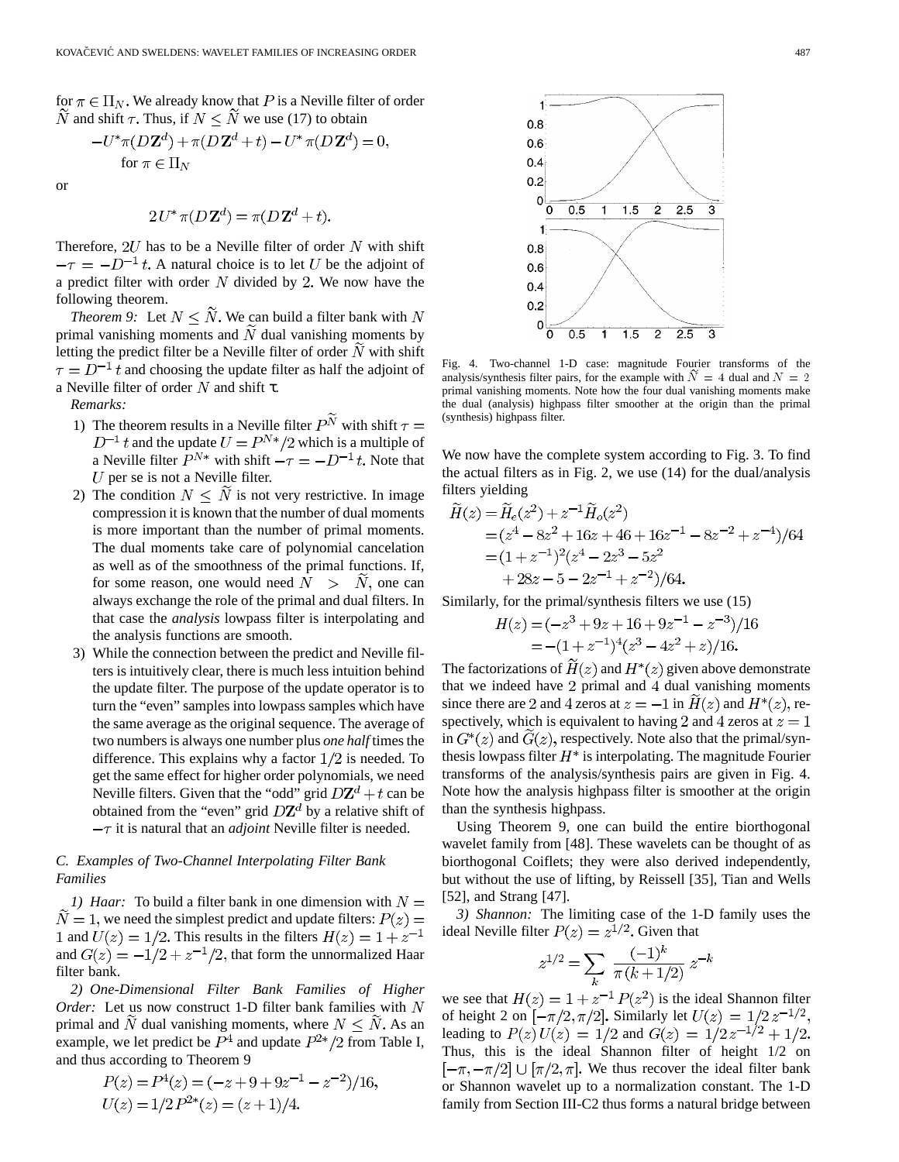for  $\pi \in \Pi_N$ . We already know that P is a Neville filter of order  $\widetilde{N}$  and shift  $\tau$ . Thus, if  $N \leq \widetilde{N}$  we use (17) to obtain

$$
-U^*\pi(D\mathbf{Z}^d) + \pi(D\mathbf{Z}^d + t) - U^*\pi(D\mathbf{Z}^d) = 0,
$$
  
for  $\pi \in \Pi_N$ 

or

$$
2U^*\pi(D\mathbf{Z}^d) = \pi(D\mathbf{Z}^d + t).
$$

Therefore,  $2U$  has to be a Neville filter of order N with shift  $-\tau = -D^{-1}t$ . A natural choice is to let U be the adjoint of a predict filter with order  $N$  divided by 2. We now have the following theorem.

*Theorem 9:* Let  $N \leq \tilde{N}$ . We can build a filter bank with N primal vanishing moments and  $\tilde{N}$  dual vanishing moments by letting the predict filter be a Neville filter of order  $N$  with shift  $\tau = D^{-1}t$  and choosing the update filter as half the adjoint of a Neville filter of order  $N$  and shift  $\tau$ .

*Remarks:*

- 1) The theorem results in a Neville filter  $P^{\widetilde{N}}$  with shift  $\tau=$ and the update  $U = P^{N*}/2$  which is a multiple of a Neville filter  $P^{N*}$  with shift  $-\tau = -D^{-1}t$ . Note that  $U$  per se is not a Neville filter.
- 2) The condition  $N \leq \tilde{N}$  is not very restrictive. In image compression it is known that the number of dual moments is more important than the number of primal moments. The dual moments take care of polynomial cancelation as well as of the smoothness of the primal functions. If, for some reason, one would need  $N > N$ , one can always exchange the role of the primal and dual filters. In that case the *analysis* lowpass filter is interpolating and the analysis functions are smooth.
- 3) While the connection between the predict and Neville filters is intuitively clear, there is much less intuition behind the update filter. The purpose of the update operator is to turn the "even" samples into lowpass samples which have the same average as the original sequence. The average of two numbers is always one number plus *one half* times the difference. This explains why a factor  $1/2$  is needed. To get the same effect for higher order polynomials, we need Neville filters. Given that the "odd" grid  $D\mathbf{Z}^d + t$  can be obtained from the "even" grid  $D\mathbb{Z}^d$  by a relative shift of  $-\tau$  it is natural that an *adjoint* Neville filter is needed.

# *C. Examples of Two-Channel Interpolating Filter Bank Families*

*1) Haar:* To build a filter bank in one dimension with  $N =$  $\widetilde{N} = 1$ , we need the simplest predict and update filters:  $P(z) =$ 1 and  $U(z) = 1/2$ . This results in the filters  $H(z) = 1 + z^{-1}$ and  $G(z) = -1/2 + z^{-1}/2$ , that form the unnormalized Haar filter bank.

*2) One-Dimensional Filter Bank Families of Higher Order:* Let us now construct 1-D filter bank families with N primal and  $\tilde{N}$  dual vanishing moments, where  $N \leq \tilde{N}$ . As an example, we let predict be  $P^4$  and update  $P^{2*}/2$  from Table I, and thus according to Theorem 9

$$
P(z) = P4(z) = (-z + 9 + 9z-1 - z-2)/16,
$$
  
U(z) = 1/2 P<sup>2\*</sup>(z) = (z + 1)/4.



Fig. 4. Two-channel 1-D case: magnitude Fourier transforms of the analysis/synthesis filter pairs, for the example with  $N = 4$  dual and  $N = 2$ primal vanishing moments. Note how the four dual vanishing moments make the dual (analysis) highpass filter smoother at the origin than the primal (synthesis) highpass filter.

We now have the complete system according to Fig. 3. To find the actual filters as in Fig. 2, we use (14) for the dual/analysis filters yielding

$$
\widetilde{H}(z) = \widetilde{H}_e(z^2) + z^{-1} \widetilde{H}_o(z^2) \n= (z^4 - 8z^2 + 16z + 46 + 16z^{-1} - 8z^{-2} + z^{-4})/64 \n= (1 + z^{-1})^2 (z^4 - 2z^3 - 5z^2 \n+ 28z - 5 - 2z^{-1} + z^{-2})/64.
$$

Similarly, for the primal/synthesis filters we use (15)

$$
H(z) = (-z3 + 9z + 16 + 9z-1 - z-3)/16
$$
  
= -(1 + z<sup>-1</sup>)<sup>4</sup>(z<sup>3</sup> - 4z<sup>2</sup> + z)/16.

The factorizations of  $H(z)$  and  $H^*(z)$  given above demonstrate that we indeed have  $2$  primal and  $4$  dual vanishing moments since there are 2 and 4 zeros at  $z = -1$  in  $H(z)$  and  $H^*(z)$ , respectively, which is equivalent to having 2 and 4 zeros at  $z = 1$ in  $G^*(z)$  and  $G(z)$ , respectively. Note also that the primal/synthesis lowpass filter  $H^*$  is interpolating. The magnitude Fourier transforms of the analysis/synthesis pairs are given in Fig. 4. Note how the analysis highpass filter is smoother at the origin than the synthesis highpass.

Using Theorem 9, one can build the entire biorthogonal wavelet family from [48]. These wavelets can be thought of as biorthogonal Coiflets; they were also derived independently, but without the use of lifting, by Reissell [35], Tian and Wells [52], and Strang [47].

*3) Shannon:* The limiting case of the 1-D family uses the ideal Neville filter  $P(z) = z^{1/2}$ . Given that

$$
z^{1/2} = \sum_{k} \frac{(-1)^k}{\pi (k+1/2)} z^{-k}
$$

we see that  $H(z) = 1 + z^{-1} P(z^2)$  is the ideal Shannon filter of height 2 on  $\left[-\frac{\pi}{2}, \frac{\pi}{2}\right]$ . Similarly let leading to  $P(z)U(z) = 1/2$  and Thus, this is the ideal Shannon filter of height 1/2 on  $[-\pi, -\pi/2] \cup [\pi/2, \pi]$ . We thus recover the ideal filter bank or Shannon wavelet up to a normalization constant. The 1-D family from Section III-C2 thus forms a natural bridge between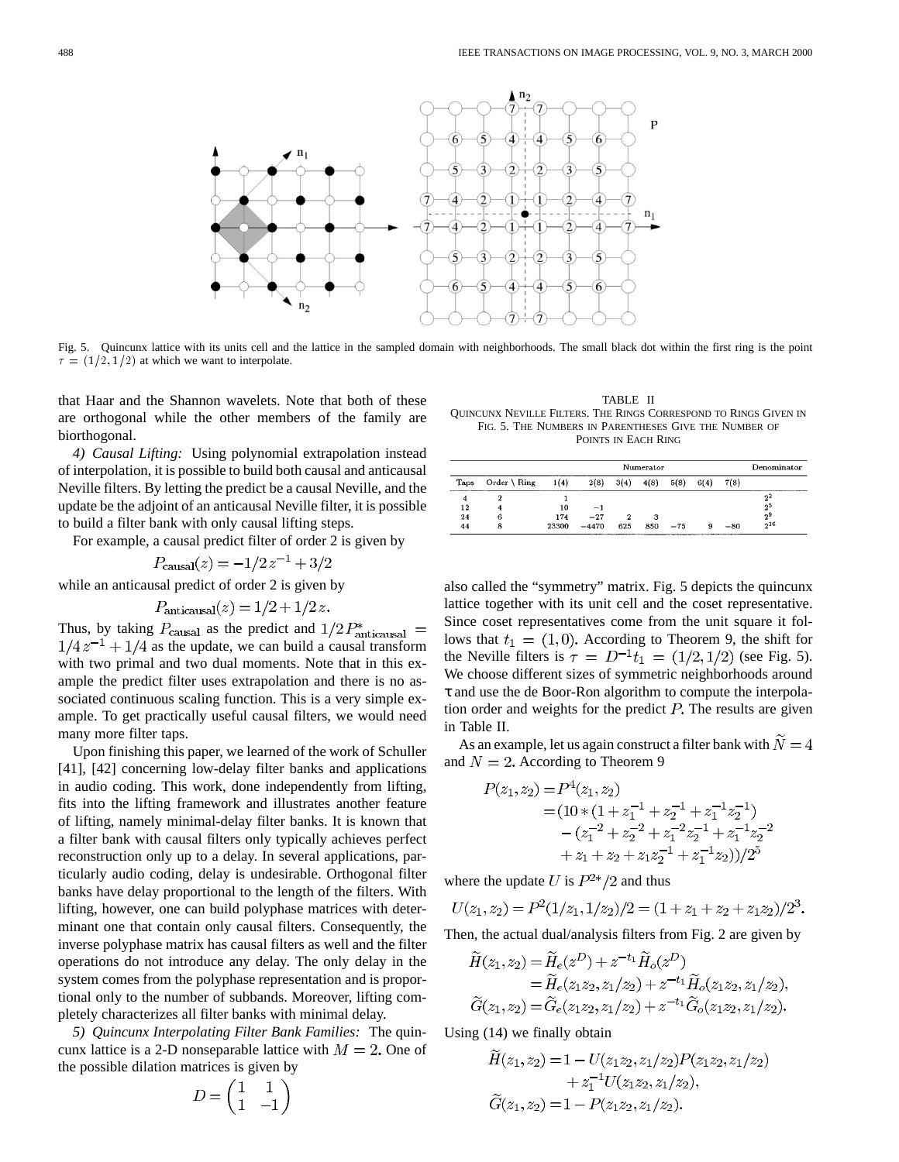

Fig. 5. Quincunx lattice with its units cell and the lattice in the sampled domain with neighborhoods. The small black dot within the first ring is the point  $\tau = (1/2, 1/2)$  at which we want to interpolate.

that Haar and the Shannon wavelets. Note that both of these are orthogonal while the other members of the family are biorthogonal.

*4) Causal Lifting:* Using polynomial extrapolation instead of interpolation, it is possible to build both causal and anticausal Neville filters. By letting the predict be a causal Neville, and the update be the adjoint of an anticausal Neville filter, it is possible to build a filter bank with only causal lifting steps.

For example, a causal predict filter of order 2 is given by

$$
P_{\text{causal}}(z) = -1/2 z^{-1} + 3/2
$$

while an anticausal predict of order 2 is given by

$$
P_{\text{anticausal}}(z) = 1/2 + 1/2 z.
$$

Thus, by taking  $P_{\text{causal}}$  as the predict and  $1/2 P_{\text{anticausal}}^*$  =  $1/4z^{-1} + 1/4$  as the update, we can build a causal transform with two primal and two dual moments. Note that in this example the predict filter uses extrapolation and there is no associated continuous scaling function. This is a very simple example. To get practically useful causal filters, we would need many more filter taps.

Upon finishing this paper, we learned of the work of Schuller [41], [42] concerning low-delay filter banks and applications in audio coding. This work, done independently from lifting, fits into the lifting framework and illustrates another feature of lifting, namely minimal-delay filter banks. It is known that a filter bank with causal filters only typically achieves perfect reconstruction only up to a delay. In several applications, particularly audio coding, delay is undesirable. Orthogonal filter banks have delay proportional to the length of the filters. With lifting, however, one can build polyphase matrices with determinant one that contain only causal filters. Consequently, the inverse polyphase matrix has causal filters as well and the filter operations do not introduce any delay. The only delay in the system comes from the polyphase representation and is proportional only to the number of subbands. Moreover, lifting completely characterizes all filter banks with minimal delay.

*5) Quincunx Interpolating Filter Bank Families:* The quincunx lattice is a 2-D nonseparable lattice with  $M = 2$ . One of the possible dilation matrices is given by

$$
D = \begin{pmatrix} 1 & 1 \\ 1 & -1 \end{pmatrix}
$$

TABLE II QUINCUNX NEVILLE FILTERS. THE RINGS CORRESPOND TO RINGS GIVEN IN FIG. 5. THE NUMBERS IN PARENTHESES GIVE THE NUMBER OF POINTS IN EACH RING

|      | Numerator              |       |         |      |      |       |      |       | Denominator    |
|------|------------------------|-------|---------|------|------|-------|------|-------|----------------|
| Taps | Order $\setminus$ Ring | 1(4)  | 2(8)    | 3(4) | 4(8) | 5(8)  | 6(4) | 7(8)  |                |
| 4    |                        |       |         |      |      |       |      |       | $2^2$          |
| 12   | 4                      | 10    | $-1$    |      |      |       |      |       | 2 <sup>5</sup> |
| 24   | 6                      | 174   | $-27$   | 2    | 3    |       |      |       | 2 <sup>9</sup> |
| 44   | 8                      | 23300 | $-4470$ | 625  | 850  | $-75$ | 9    | $-80$ | $2^{16}$       |

also called the "symmetry" matrix. Fig. 5 depicts the quincunx lattice together with its unit cell and the coset representative. Since coset representatives come from the unit square it follows that  $t_1 = (1,0)$ . According to Theorem 9, the shift for the Neville filters is  $\tau = D^{-1}t_1 = (1/2, 1/2)$  (see Fig. 5). We choose different sizes of symmetric neighborhoods around τ and use the de Boor-Ron algorithm to compute the interpolation order and weights for the predict  $P$ . The results are given in Table II.

As an example, let us again construct a filter bank with  $N = 4$ and  $N = 2$ . According to Theorem 9

$$
P(z_1, z_2) = P^4(z_1, z_2)
$$
  
=  $(10 * (1 + z_1^{-1} + z_2^{-1} + z_1^{-1} z_2^{-1})$   
 $- (z_1^{-2} + z_2^{-2} + z_1^{-2} z_2^{-1} + z_1^{-1} z_2^{-2}$   
 $+ z_1 + z_2 + z_1 z_2^{-1} + z_1^{-1} z_2$ )/ $(2^{5}$ 

where the update U is  $P^{2*}/2$  and thus

 $\sim$ 

$$
U(z_1, z_2) = P^2(1/z_1, 1/z_2)/2 = (1 + z_1 + z_2 + z_1 z_2)/2^3.
$$

Then, the actual dual/analysis filters from Fig. 2 are given by

$$
\tilde{H}(z_1, z_2) = \tilde{H}_e(z^D) + z^{-t_1} \tilde{H}_o(z^D) \n= \tilde{H}_e(z_1 z_2, z_1/z_2) + z^{-t_1} \tilde{H}_o(z_1 z_2, z_1/z_2), \n\tilde{G}(z_1, z_2) = \tilde{G}_e(z_1 z_2, z_1/z_2) + z^{-t_1} \tilde{G}_o(z_1 z_2, z_1/z_2).
$$

Using (14) we finally obtain

$$
\widetilde{H}(z_1, z_2) = 1 - U(z_1 z_2, z_1/z_2) P(z_1 z_2, z_1/z_2) \n+ z_1^{-1} U(z_1 z_2, z_1/z_2), \n\widetilde{G}(z_1, z_2) = 1 - P(z_1 z_2, z_1/z_2).
$$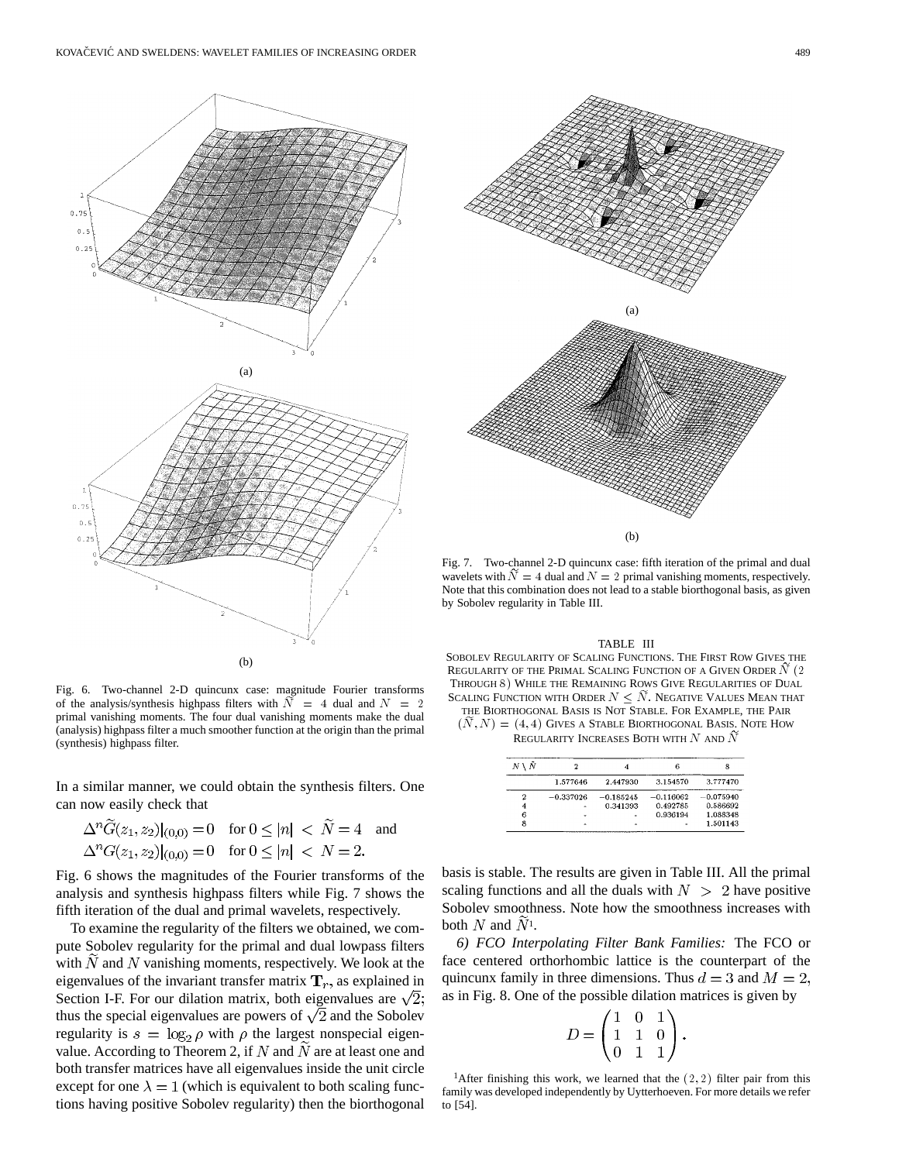

Fig. 6. Two-channel 2-D quincunx case: magnitude Fourier transforms of the analysis/synthesis highpass filters with  $\overline{N}$  = 4 dual and  $\overline{N}$  = 2 primal vanishing moments. The four dual vanishing moments make the dual (analysis) highpass filter a much smoother function at the origin than the primal (synthesis) highpass filter.

In a similar manner, we could obtain the synthesis filters. One can now easily check that

$$
\Delta^n \widetilde{G}(z_1, z_2)|_{(0,0)} = 0 \quad \text{for } 0 \le |n| < \widetilde{N} = 4 \quad \text{and}
$$
\n
$$
\Delta^n G(z_1, z_2)|_{(0,0)} = 0 \quad \text{for } 0 \le |n| < N = 2.
$$

Fig. 6 shows the magnitudes of the Fourier transforms of the analysis and synthesis highpass filters while Fig. 7 shows the fifth iteration of the dual and primal wavelets, respectively.

To examine the regularity of the filters we obtained, we compute Sobolev regularity for the primal and dual lowpass filters with  $N$  and  $N$  vanishing moments, respectively. We look at the eigenvalues of the invariant transfer matrix  $\mathbf{T}_r$ , as explained in Section I-F. For our dilation matrix, both eigenvalues are  $\sqrt{2}$ ; thus the special eigenvalues are powers of  $\sqrt{2}$  and the Sobolev regularity is  $s = \log_2 \rho$  with  $\rho$  the largest nonspecial eigenvalue. According to Theorem 2, if  $N$  and  $N$  are at least one and both transfer matrices have all eigenvalues inside the unit circle except for one  $\lambda = 1$  (which is equivalent to both scaling functions having positive Sobolev regularity) then the biorthogonal



Fig. 7. Two-channel 2-D quincunx case: fifth iteration of the primal and dual wavelets with  $\tilde{N} = 4$  dual and  $N = 2$  primal vanishing moments, respectively. Note that this combination does not lead to a stable biorthogonal basis, as given by Sobolev regularity in Table III.

#### TABLE III

SOBOLEV REGULARITY OF SCALING FUNCTIONS. THE FIRST ROW GIVES THE REGULARITY OF THE PRIMAL SCALING FUNCTION OF A GIVEN ORDER N (2 THROUGH 8) WHILE THE REMAINING ROWS GIVE REGULARITIES OF DUAL SCALING FUNCTION WITH ORDER  $N \leq N$ . NEGATIVE VALUES MEAN THAT THE BIORTHOGONAL BASIS IS NOT STABLE. FOR EXAMPLE, THE PAIR

 $(N, N) = (4, 4)$  GIVES A STABLE BIORTHOGONAL BASIS. NOTE HOW

REGULARITY INCREASES BOTH WITH  $N$  and  $N$ 

| Ñ |             |             |             |             |
|---|-------------|-------------|-------------|-------------|
|   | 1.577646    | 2.447930    | 3.154570    | 3.777470    |
| 2 | $-0.337026$ | $-0.185245$ | $-0.116062$ | $-0.075940$ |
| 4 |             | 0.341393    | 0.492785    | 0.586692    |
| 6 |             |             | 0.936194    | 1.088348    |
| 8 |             |             |             | 1.501143    |

basis is stable. The results are given in Table III. All the primal scaling functions and all the duals with  $N > 2$  have positive Sobolev smoothness. Note how the smoothness increases with both  $N$  and  $N<sup>1</sup>$ .

*6) FCO Interpolating Filter Bank Families:* The FCO or face centered orthorhombic lattice is the counterpart of the quincunx family in three dimensions. Thus  $d = 3$  and  $M = 2$ , as in Fig. 8. One of the possible dilation matrices is given by

$$
D = \begin{pmatrix} 1 & 0 & 1 \\ 1 & 1 & 0 \\ 0 & 1 & 1 \end{pmatrix}.
$$

<sup>1</sup>After finishing this work, we learned that the  $(2, 2)$  filter pair from this family was developed independently by Uytterhoeven. For more details we refer to [54].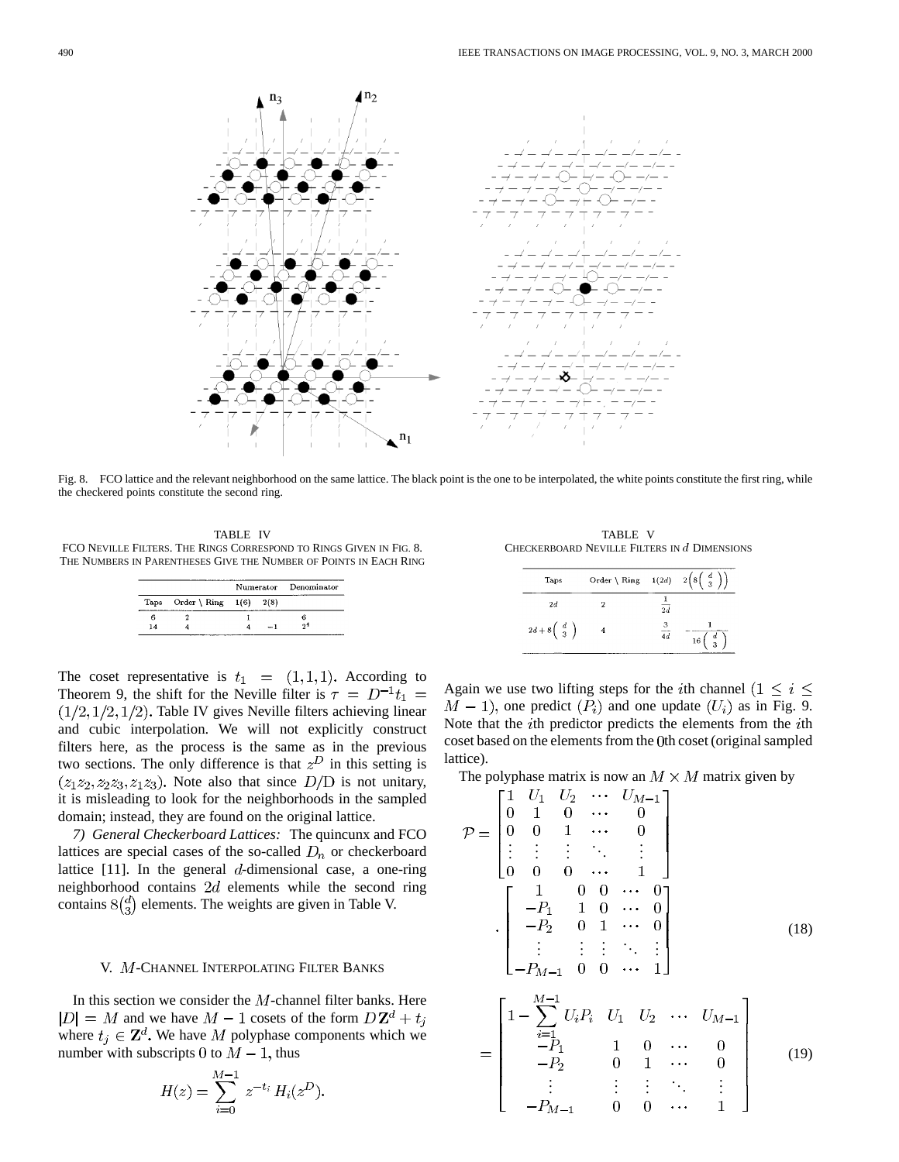

Fig. 8. FCO lattice and the relevant neighborhood on the same lattice. The black point is the one to be interpolated, the white points constitute the first ring, while the checkered points constitute the second ring.

TABLE IV FCO NEVILLE FILTERS. THE RINGS CORRESPOND TO RINGS GIVEN IN FIG. 8. THE NUMBERS IN PARENTHESES GIVE THE NUMBER OF POINTS IN EACH RING

|    |                          |      | Numerator Denominator |
|----|--------------------------|------|-----------------------|
|    | Taps Order \ Ring $1(6)$ | 2(8) |                       |
| Б  |                          |      |                       |
| 14 |                          | -- 1 | -29                   |

The coset representative is  $t_1 = (1,1,1)$ . According to Theorem 9, the shift for the Neville filter is  $\tau = D^{-1}t_1 =$  $(1/2, 1/2, 1/2)$ . Table IV gives Neville filters achieving linear and cubic interpolation. We will not explicitly construct filters here, as the process is the same as in the previous two sections. The only difference is that  $z<sup>D</sup>$  in this setting is  $(z_1z_2, z_2z_3, z_1z_3)$ . Note also that since  $D/D$  is not unitary, it is misleading to look for the neighborhoods in the sampled domain; instead, they are found on the original lattice.

*7) General Checkerboard Lattices:* The quincunx and FCO lattices are special cases of the so-called  $D_n$  or checkerboard lattice  $[11]$ . In the general d-dimensional case, a one-ring neighborhood contains  $2d$  elements while the second ring contains  $8\binom{d}{3}$  elements. The weights are given in Table V.

# V. M-CHANNEL INTERPOLATING FILTER BANKS

In this section we consider the  $M$ -channel filter banks. Here  $|D| = M$  and we have  $M - 1$  cosets of the form  $D\mathbf{Z}^d + t_j$ where  $t_i \in \mathbf{Z}^d$ . We have M polyphase components which we number with subscripts 0 to  $M-1$ , thus

$$
H(z) = \sum_{i=0}^{M-1} z^{-t_i} H_i(z^D)
$$

TABLE V CHECKERBOARD NEVILLE FILTERS IN  $d$  DIMENSIONS

| Taps                                                   | Order \ Ring $-1(2d) - 2\left(8\left(\begin{array}{c} d \\ 3 \end{array}\right)\right)$ |                 |                                                 |
|--------------------------------------------------------|-----------------------------------------------------------------------------------------|-----------------|-------------------------------------------------|
| 2d                                                     |                                                                                         | $\overline{2d}$ |                                                 |
| $2d+8\left(\begin{array}{c} d \\ 3 \end{array}\right)$ |                                                                                         |                 | $\begin{array}{c} d \\ 3 \end{array}$<br>$16\,$ |

Again we use two lifting steps for the *i*th channel  $(1 \leq i \leq n)$  $M-1$ , one predict  $(P_i)$  and one update  $(U_i)$  as in Fig. 9. Note that the  $i$ th predictor predicts the elements from the  $i$ th coset based on the elements from the 0th coset (original sampled lattice).

The polyphase matrix is now an  $M \times M$  matrix given by

$$
\mathcal{P} = \begin{bmatrix}\n1 & U_1 & U_2 & \cdots & U_{M-1} \\
0 & 1 & 0 & \cdots & 0 \\
0 & 0 & 1 & \cdots & 0 \\
\vdots & \vdots & \vdots & \ddots & \vdots \\
0 & 0 & 0 & \cdots & 1\n\end{bmatrix}
$$
\n
$$
\cdot \begin{bmatrix}\n1 & 0 & 0 & \cdots & 0 \\
-P_1 & 1 & 0 & \cdots & 0 \\
-P_2 & 0 & 1 & \cdots & 0 \\
\vdots & \vdots & \vdots & \ddots & \vdots \\
-P_{M-1} & 0 & 0 & \cdots & 1\n\end{bmatrix}
$$
\n(18)

$$
= \begin{bmatrix} 1 - \sum_{i=1}^{M-1} U_i P_i & U_1 & U_2 & \cdots & U_{M-1} \\ -P_1 & 1 & 0 & \cdots & 0 \\ -P_2 & 0 & 1 & \cdots & 0 \\ \vdots & \vdots & \vdots & \ddots & \vdots \\ -P_{M-1} & 0 & 0 & \cdots & 1 \end{bmatrix}
$$
 (19)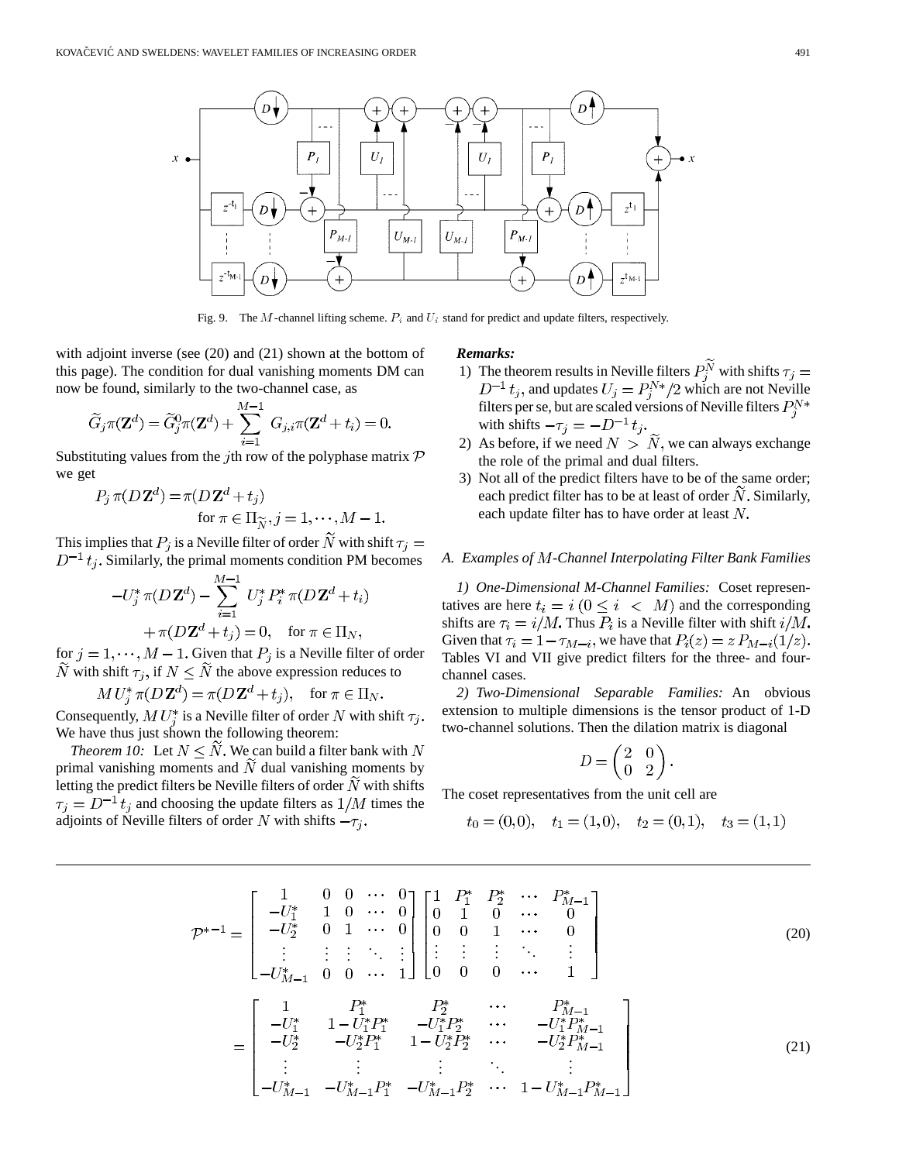

Fig. 9. The M-channel lifting scheme.  $P_i$  and  $U_i$  stand for predict and update filters, respectively.

with adjoint inverse (see (20) and (21) shown at the bottom of this page). The condition for dual vanishing moments DM can now be found, similarly to the two-channel case, as

$$
\widetilde{G}_j \pi(\mathbf{Z}^d) = \widetilde{G}_j^0 \pi(\mathbf{Z}^d) + \sum_{i=1}^{M-1} G_{j,i} \pi(\mathbf{Z}^d + t_i) = 0.
$$

Substituting values from the *j*th row of the polyphase matrix  $\mathcal{P}$ we get

$$
P_j \pi(D\mathbf{Z}^d) = \pi(D\mathbf{Z}^d + t_j)
$$
  
for  $\pi \in \Pi_{\widetilde{N}}, j = 1, \dots, M - 1$ 

This implies that  $P_i$  is a Neville filter of order N with shift  $\tau_i =$  $D^{-1}t_j$ . Similarly, the primal moments condition PM becomes

$$
-U_j^* \pi (D \mathbf{Z}^d) - \sum_{i=1}^{M-1} U_j^* P_i^* \pi (D \mathbf{Z}^d + t_i) + \pi (D \mathbf{Z}^d + t_j) = 0, \text{ for } \pi \in \Pi_N,
$$

for  $j = 1, \dots, M - 1$ . Given that  $P_j$  is a Neville filter of order  $\widetilde{N}$  with shift  $\tau_j$ , if  $N \leq \widetilde{N}$  the above expression reduces to

 $MU^*_i \pi(D\mathbf{Z}^d) = \pi(D\mathbf{Z}^d + t_j), \quad \text{for } \pi \in \Pi_N.$ 

Consequently,  $MU_i^*$  is a Neville filter of order N with shift  $\tau_j$ . We have thus just shown the following theorem:

*Theorem 10:* Let  $N \leq N$ . We can build a filter bank with N primal vanishing moments and  $\tilde{N}$  dual vanishing moments by letting the predict filters be Neville filters of order  $N$  with shifts  $\tau_j = D^{-1} t_j$  and choosing the update filters as  $1/M$  times the adjoints of Neville filters of order N with shifts  $-\tau_j$ .

# *Remarks:*

- 1) The theorem results in Neville filters  $P_i^N$  with shifts and updates  $U_i = P_i^{N*}/2$  which are not Neville filters per se, but are scaled versions of Neville filters with shifts  $-\tau_j = -D^{-1} t_j$ .
- 2) As before, if we need  $N > \tilde{N}$ , we can always exchange the role of the primal and dual filters.
- 3) Not all of the predict filters have to be of the same order; each predict filter has to be at least of order  $N$ . Similarly, each update filter has to have order at least  $N$ .

# *A. Examples of -Channel Interpolating Filter Bank Families*

*1) One-Dimensional M-Channel Families:* Coset representatives are here  $t_i = i \ (0 \leq i \ < M)$  and the corresponding shifts are  $\tau_i = i/M$ . Thus  $P_i$  is a Neville filter with shift  $i/M$ . Given that  $\tau_i = 1 - \tau_{M-i}$ , we have that  $P_i(z) = z P_{M-i}(1/z)$ . Tables VI and VII give predict filters for the three- and fourchannel cases.

*2) Two-Dimensional Separable Families:* An obvious extension to multiple dimensions is the tensor product of 1-D two-channel solutions. Then the dilation matrix is diagonal

$$
D = \begin{pmatrix} 2 & 0 \\ 0 & 2 \end{pmatrix}.
$$

The coset representatives from the unit cell are

$$
t_0 = (0,0), \quad t_1 = (1,0), \quad t_2 = (0,1), \quad t_3 = (1,1)
$$

$$
\mathcal{P}^{*-1} = \begin{bmatrix}\n1 & 0 & 0 & \cdots & 0 \\
-U_1^* & 1 & 0 & \cdots & 0 \\
-U_2^* & 0 & 1 & \cdots & 0 \\
\vdots & \vdots & \vdots & \ddots & \vdots \\
-U_{M-1}^* & 0 & 0 & \cdots & 1\n\end{bmatrix}\n\begin{bmatrix}\n1 & P_1^* & P_2^* & \cdots & P_{M-1}^* \\
0 & 1 & 0 & \cdots & 0 \\
0 & 0 & 1 & \cdots & 0 \\
\vdots & \vdots & \vdots & \ddots & \vdots \\
0 & 0 & 0 & \cdots & 1\n\end{bmatrix}
$$
\n
$$
= \begin{bmatrix}\n1 & P_1^* & P_2^* & \cdots & P_{M-1}^* \\
-U_1^* & 1 - U_1^* P_1^* & -U_1^* P_2^* & \cdots & -U_1^* P_{M-1}^* \\
-U_2^* & -U_2^* P_1^* & 1 - U_2^* P_2^* & \cdots & -U_2^* P_{M-1}^* \\
\vdots & \vdots & \vdots & \ddots & \vdots \\
-U_{M-1}^* & -U_{M-1}^* P_1^* & -U_{M-1}^* P_2^* & \cdots & 1 - U_{M-1}^* P_{M-1}^*\n\end{bmatrix}
$$
\n(21)

 $\overline{\mathbf{r}}$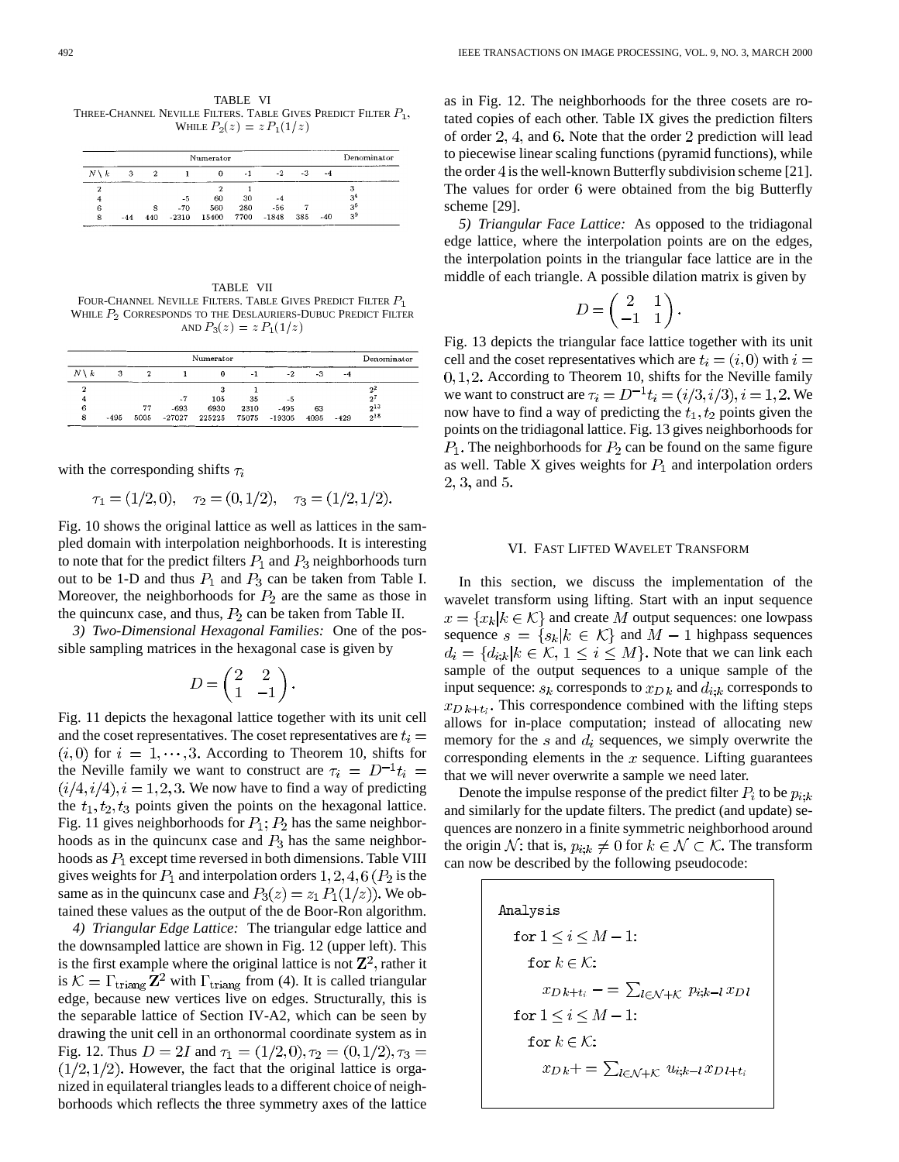TABLE VI THREE-CHANNEL NEVILLE FILTERS. TABLE GIVES PREDICT FILTER  $P_1$ , WHILE  $P_2(z) = z P_1(1/z)$ 

| Numerator       |       |     |         |          |      |         |     |       | Denominator    |
|-----------------|-------|-----|---------|----------|------|---------|-----|-------|----------------|
| $N \setminus k$ | 3     |     |         | $\Omega$ | $-1$ | $-2.$   | -3  | $-4$  |                |
| 2               |       |     |         |          |      |         |     |       |                |
| 4               |       |     | -5      | 60       | 30   | -4      |     |       | 3,             |
| 6               |       | 8   | $-70$   | 560      | 280  | $-56$   |     |       | 3 <sup>6</sup> |
| 8               | $-44$ | 440 | $-2310$ | 15400    | 7700 | $-1848$ | 385 | $-40$ | 3 <sup>9</sup> |

TABLE VII FOUR-CHANNEL NEVILLE FILTERS. TABLE GIVES PREDICT FILTER  $P_1$ WHILE  $P_2$  CORRESPONDS TO THE DESLAURIERS-DUBUC PREDICT FILTER AND  $P_3(z) = z P_1(1/z)$ 

|                 |        |      |          | Numerator |      |              |      |        | Denominator |
|-----------------|--------|------|----------|-----------|------|--------------|------|--------|-------------|
| $N \setminus k$ | 3      |      |          | $\Omega$  | -1   | $-2$         | -3   | -4     |             |
| ົ               |        |      |          |           |      |              |      |        | $2^2$       |
|                 |        |      | .7       | 105       | 35   | -5           |      |        | $2^i$       |
| 6               |        | 77   | $-693$   | 6930      | 2310 | $-495$       | 63   |        | $2^{13}$    |
| 8               | $-495$ | 5005 | $-27027$ | 225225    |      | 75075 -19305 | 4095 | $-429$ | $2^{18}$    |

with the corresponding shifts  $\tau_i$ 

$$
\tau_1 = (1/2, 0), \quad \tau_2 = (0, 1/2), \quad \tau_3 = (1/2, 1/2).
$$

Fig. 10 shows the original lattice as well as lattices in the sampled domain with interpolation neighborhoods. It is interesting to note that for the predict filters  $P_1$  and  $P_3$  neighborhoods turn out to be 1-D and thus  $P_1$  and  $P_3$  can be taken from Table I. Moreover, the neighborhoods for  $P_2$  are the same as those in the quincunx case, and thus,  $P_2$  can be taken from Table II.

*3) Two-Dimensional Hexagonal Families:* One of the possible sampling matrices in the hexagonal case is given by

$$
D = \begin{pmatrix} 2 & 2 \\ 1 & -1 \end{pmatrix}.
$$

Fig. 11 depicts the hexagonal lattice together with its unit cell and the coset representatives. The coset representatives are  $t_i =$  $(i,0)$  for  $i = 1, \dots, 3$ . According to Theorem 10, shifts for the Neville family we want to construct are  $\tau_i = D^{-1} t_i =$  $(i/4, i/4), i = 1, 2, 3$ . We now have to find a way of predicting the  $t_1, t_2, t_3$  points given the points on the hexagonal lattice. Fig. 11 gives neighborhoods for  $P_1$ ;  $P_2$  has the same neighborhoods as in the quincunx case and  $P_3$  has the same neighborhoods as  $P_1$  except time reversed in both dimensions. Table VIII gives weights for  $P_1$  and interpolation orders  $1, 2, 4, 6$  ( $P_2$  is the same as in the quincunx case and  $P_3(z) = z_1 P_1(1/z)$ . We obtained these values as the output of the de Boor-Ron algorithm.

*4) Triangular Edge Lattice:* The triangular edge lattice and the downsampled lattice are shown in Fig. 12 (upper left). This is the first example where the original lattice is not  $\mathbb{Z}^2$ , rather it is  $\mathcal{K} = \Gamma_{\text{triangle}} \mathbf{Z}^2$  with  $\Gamma_{\text{triangle}}$  from (4). It is called triangular edge, because new vertices live on edges. Structurally, this is the separable lattice of Section IV-A2, which can be seen by drawing the unit cell in an orthonormal coordinate system as in Fig. 12. Thus  $D = 2I$  and  $\tau_1 = (1/2, 0), \tau_2 = (0, 1/2), \tau_3 =$  $(1/2, 1/2)$ . However, the fact that the original lattice is organized in equilateral triangles leads to a different choice of neighborhoods which reflects the three symmetry axes of the lattice as in Fig. 12. The neighborhoods for the three cosets are rotated copies of each other. Table IX gives the prediction filters of order  $2, 4$ , and 6. Note that the order  $2$  prediction will lead to piecewise linear scaling functions (pyramid functions), while the order 4 is the well-known Butterfly subdivision scheme [21]. The values for order 6 were obtained from the big Butterfly scheme [29].

*5) Triangular Face Lattice:* As opposed to the tridiagonal edge lattice, where the interpolation points are on the edges, the interpolation points in the triangular face lattice are in the middle of each triangle. A possible dilation matrix is given by

$$
D = \begin{pmatrix} 2 & 1 \\ -1 & 1 \end{pmatrix}.
$$

Fig. 13 depicts the triangular face lattice together with its unit cell and the coset representatives which are  $t_i = (i, 0)$  with  $i =$  $0, 1, 2$ . According to Theorem 10, shifts for the Neville family we want to construct are  $\tau_i = D^{-1} t_i = (i/3, i/3), i = 1, 2$ . We now have to find a way of predicting the  $t_1, t_2$  points given the points on the tridiagonal lattice. Fig. 13 gives neighborhoods for  $P_1$ . The neighborhoods for  $P_2$  can be found on the same figure as well. Table X gives weights for  $P_1$  and interpolation orders  $2, 3,$  and 5.

## VI. FAST LIFTED WAVELET TRANSFORM

In this section, we discuss the implementation of the wavelet transform using lifting. Start with an input sequence  $x = \{x_k | k \in \mathcal{K}\}\$ and create M output sequences: one lowpass sequence  $s = \{s_k | k \in \mathcal{K}\}\$ and  $M-1$  highpass sequences  $d_i = \{d_{i,k} | k \in \mathcal{K}, 1 \leq i \leq M\}$ . Note that we can link each sample of the output sequences to a unique sample of the input sequence:  $s_k$  corresponds to  $x_{D_k}$  and  $d_{i,k}$  corresponds to  $x_{Dk+t_i}$ . This correspondence combined with the lifting steps allows for in-place computation; instead of allocating new memory for the  $s$  and  $d_i$  sequences, we simply overwrite the corresponding elements in the  $x$  sequence. Lifting guarantees that we will never overwrite a sample we need later.

Denote the impulse response of the predict filter  $P_i$  to be  $p_{i:k}$ and similarly for the update filters. The predict (and update) sequences are nonzero in a finite symmetric neighborhood around the origin N: that is,  $p_{i;k} \neq 0$  for  $k \in \mathcal{N} \subset \mathcal{K}$ . The transform can now be described by the following pseudocode:

> Analysis for  $1 \leq i \leq M-1$ : for  $k \in \mathcal{K}$ :  $x_{D\,k+t_i} - \sum_{l \in \mathcal{N} + \mathcal{K}} p_{i;k-l} x_{D\,l}$ for  $1 \le i \le M - 1$ : for  $k \in \mathcal{K}$ :  $x_{D\,k} + \sum_{l \in \mathcal{N} + \mathcal{K}} u_{i;k-l} x_{D\,l+t_i}$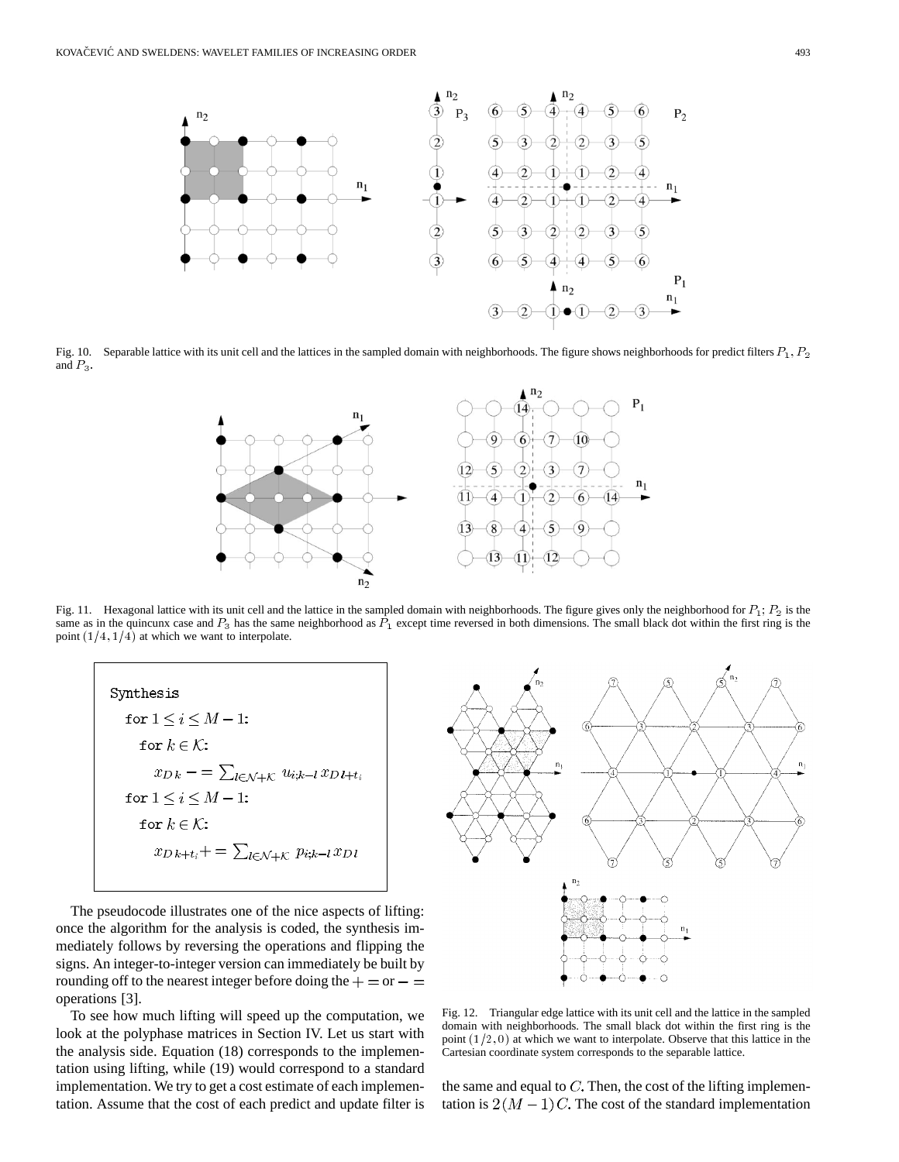

Fig. 10. Separable lattice with its unit cell and the lattices in the sampled domain with neighborhoods. The figure shows neighborhoods for predict filters  $P_1, P_2$ and  $P_3$ .



Fig. 11. Hexagonal lattice with its unit cell and the lattice in the sampled domain with neighborhoods. The figure gives only the neighborhood for  $P_1$ ;  $P_2$  is the same as in the quincunx case and  $P_3$  has the same neighborhood as  $\bar{P_1}$  except time reversed in both dimensions. The small black dot within the first ring is the point  $(1/4, 1/4)$  at which we want to interpolate.

| Synthesis                                                                      |
|--------------------------------------------------------------------------------|
| for $1 \le i \le M - 1$ :                                                      |
| for $k \in \mathcal{K}$ :                                                      |
| $x_{D\,k} - \sum_{l \in \mathcal{N} + \mathcal{K}} u_{i;k-l} x_{D\,l+t_i}$     |
| for $1 \le i \le M-1$ :                                                        |
| for $k \in \mathcal{K}$ :                                                      |
| $x_{D\,k+t_i}+=\sum\nolimits_{l\in\mathcal{N}+\mathcal{K}}p_{i;k-l}\,x_{D\,l}$ |
|                                                                                |

The pseudocode illustrates one of the nice aspects of lifting: once the algorithm for the analysis is coded, the synthesis immediately follows by reversing the operations and flipping the signs. An integer-to-integer version can immediately be built by rounding off to the nearest integer before doing the  $+ =$  or  $- =$ operations [3].

To see how much lifting will speed up the computation, we look at the polyphase matrices in Section IV. Let us start with the analysis side. Equation (18) corresponds to the implementation using lifting, while (19) would correspond to a standard implementation. We try to get a cost estimate of each implementation. Assume that the cost of each predict and update filter is



Fig. 12. Triangular edge lattice with its unit cell and the lattice in the sampled domain with neighborhoods. The small black dot within the first ring is the point  $(1/2, 0)$  at which we want to interpolate. Observe that this lattice in the Cartesian coordinate system corresponds to the separable lattice.

the same and equal to  $C$ . Then, the cost of the lifting implementation is  $2(M-1)C$ . The cost of the standard implementation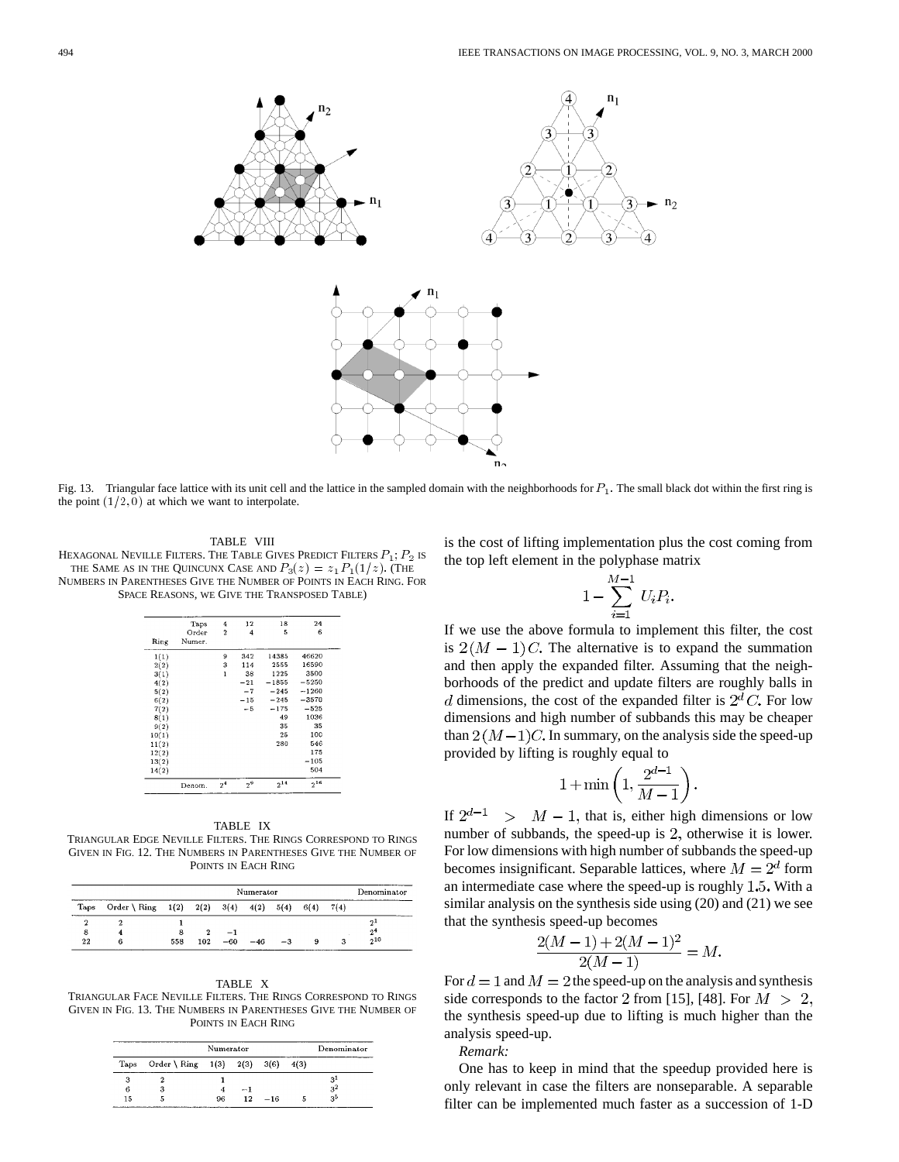

Fig. 13. Triangular face lattice with its unit cell and the lattice in the sampled domain with the neighborhoods for  $P_1$ . The small black dot within the first ring is the point  $(1/2, 0)$  at which we want to interpolate.

TABLE VIII

HEXAGONAL NEVILLE FILTERS. THE TABLE GIVES PREDICT FILTERS  $P_1$ ;  $P_2$  is THE SAME AS IN THE QUINCUNX CASE AND  $P_3(z) = z_1 P_1(1/z)$ . (The NUMBERS IN PARENTHESES GIVE THE NUMBER OF POINTS IN EACH RING. FOR SPACE REASONS, WE GIVE THE TRANSPOSED TABLE)

|       | Taps   | $\overline{4}$ | 12    | 18       | 24       |
|-------|--------|----------------|-------|----------|----------|
|       | Order  | $\overline{2}$ | 4     | 5        | 6        |
| Ring  | Numer. |                |       |          |          |
| 1(1)  |        | 9              | 342   | 14385    | 46620    |
| 2(2)  |        | 3              | 114   | 2555     | 16590    |
| 3(1)  |        | $\mathbf{1}$   | 38    | 1225     | 3500     |
| 4(2)  |        |                | $-21$ | $-1855$  | $-5250$  |
| 5(2)  |        |                | $-7$  | $-245$   | $-1260$  |
| 6(2)  |        |                | $-15$ | $-245$   | $-3570$  |
| 7(2)  |        |                | $-5$  | $-175$   | $-525$   |
| 8(1)  |        |                |       | 49       | 1036     |
| 9(2)  |        |                |       | 35       | 35       |
| 10(1) |        |                |       | 25       | 100      |
| 11(2) |        |                |       | 280      | 546      |
| 12(2) |        |                |       |          | 175      |
| 13(2) |        |                |       |          | $-105$   |
| 14(2) |        |                |       |          | 504      |
|       | Denom. | 2 <sup>4</sup> | $2^9$ | $2^{14}$ | $2^{16}$ |

TABLE IX

TRIANGULAR EDGE NEVILLE FILTERS. THE RINGS CORRESPOND TO RINGS GIVEN IN FIG. 12. THE NUMBERS IN PARENTHESES GIVE THE NUMBER OF POINTS IN EACH RING

|         | Numerator                   |     |     |       |       |      |      |      | Denominator    |
|---------|-----------------------------|-----|-----|-------|-------|------|------|------|----------------|
| Taps    | Order \ Ring 1(2) 2(2) 3(4) |     |     |       | 4(2)  | 5(4) | 6(4) | 7(4) |                |
|         |                             |     |     |       |       |      |      |      | 2 <sup>1</sup> |
| 8       |                             |     |     | -1    |       |      |      |      | 2 <sup>4</sup> |
| $^{22}$ | 6                           | 558 | 102 | $-60$ | $-46$ | $-3$ | 9    |      | $2^{10}$       |

TABLE X TRIANGULAR FACE NEVILLE FILTERS. THE RINGS CORRESPOND TO RINGS GIVEN IN FIG. 13. THE NUMBERS IN PARENTHESES GIVE THE NUMBER OF POINTS IN EACH RING

|      |                          |    | Denominator |       |      |                   |
|------|--------------------------|----|-------------|-------|------|-------------------|
| Taps | Order \ Ring $1(3)$ 2(3) |    |             | 3(6)  | 4(3) |                   |
| з    |                          |    |             |       |      |                   |
| 6    |                          | 4  | - 1         |       |      | $\frac{3^1}{3^2}$ |
| 15   | 5                        | 96 | 12          | $-16$ |      | 3 <sup>5</sup>    |

is the cost of lifting implementation plus the cost coming from the top left element in the polyphase matrix

$$
1 - \sum_{i=1}^{M-1} U_i P_i.
$$

If we use the above formula to implement this filter, the cost is  $2(M-1)C$ . The alternative is to expand the summation and then apply the expanded filter. Assuming that the neighborhoods of the predict and update filters are roughly balls in d dimensions, the cost of the expanded filter is  $2^d C$ . For low dimensions and high number of subbands this may be cheaper than  $2(M-1)C$ . In summary, on the analysis side the speed-up provided by lifting is roughly equal to

$$
1+\min\left(1,\frac{2^{d-1}}{M-1}\right).
$$

If  $2^{d-1} > M - 1$ , that is, either high dimensions or low number of subbands, the speed-up is  $2$ , otherwise it is lower. For low dimensions with high number of subbands the speed-up becomes insignificant. Separable lattices, where  $M = 2<sup>d</sup>$  form an intermediate case where the speed-up is roughly  $1.5$ . With a similar analysis on the synthesis side using (20) and (21) we see that the synthesis speed-up becomes

$$
\frac{2(M-1)+2(M-1)^2}{2(M-1)} = M.
$$

For  $d = 1$  and  $M = 2$  the speed-up on the analysis and synthesis side corresponds to the factor 2 from [15], [48]. For  $M > 2$ , the synthesis speed-up due to lifting is much higher than the analysis speed-up.

*Remark:*

One has to keep in mind that the speedup provided here is only relevant in case the filters are nonseparable. A separable filter can be implemented much faster as a succession of 1-D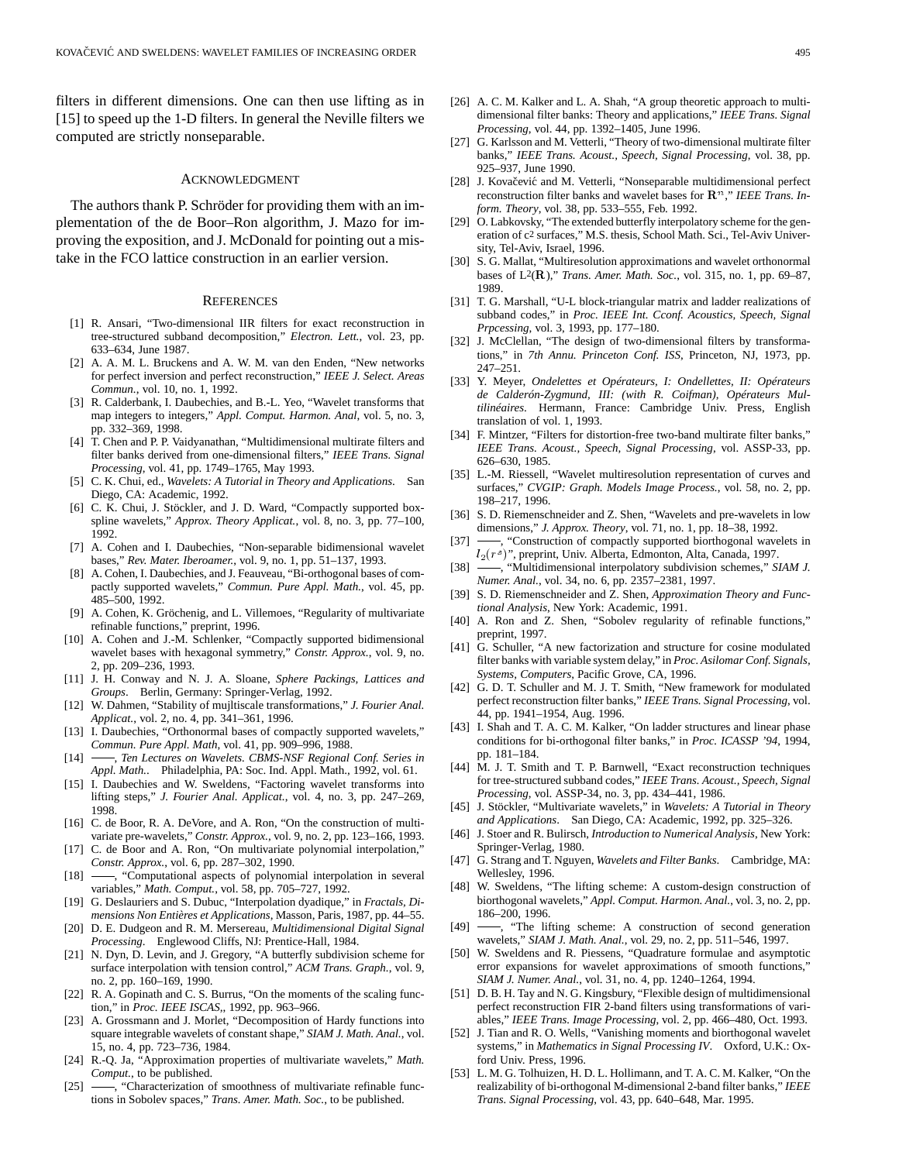filters in different dimensions. One can then use lifting as in [15] to speed up the 1-D filters. In general the Neville filters we computed are strictly nonseparable.

# ACKNOWLEDGMENT

The authors thank P. Schröder for providing them with an implementation of the de Boor–Ron algorithm, J. Mazo for improving the exposition, and J. McDonald for pointing out a mistake in the FCO lattice construction in an earlier version.

#### **REFERENCES**

- [1] R. Ansari, "Two-dimensional IIR filters for exact reconstruction in tree-structured subband decomposition," *Electron. Lett.*, vol. 23, pp. 633–634, June 1987.
- [2] A. A. M. L. Bruckens and A. W. M. van den Enden, "New networks for perfect inversion and perfect reconstruction," *IEEE J. Select. Areas Commun.*, vol. 10, no. 1, 1992.
- R. Calderbank, I. Daubechies, and B.-L. Yeo, "Wavelet transforms that map integers to integers," *Appl. Comput. Harmon. Anal*, vol. 5, no. 3, pp. 332–369, 1998.
- [4] T. Chen and P. P. Vaidyanathan, "Multidimensional multirate filters and filter banks derived from one-dimensional filters," *IEEE Trans. Signal Processing*, vol. 41, pp. 1749–1765, May 1993.
- [5] C. K. Chui, ed., *Wavelets: A Tutorial in Theory and Applications*. San Diego, CA: Academic, 1992.
- [6] C. K. Chui, J. Stöckler, and J. D. Ward, "Compactly supported boxspline wavelets," *Approx. Theory Applicat.*, vol. 8, no. 3, pp. 77–100, 1992.
- [7] A. Cohen and I. Daubechies, "Non-separable bidimensional wavelet bases," *Rev. Mater. Iberoamer.*, vol. 9, no. 1, pp. 51–137, 1993.
- [8] A. Cohen, I. Daubechies, and J. Feauveau, "Bi-orthogonal bases of compactly supported wavelets," *Commun. Pure Appl. Math.*, vol. 45, pp. 485–500, 1992.
- [9] A. Cohen, K. Gröchenig, and L. Villemoes, "Regularity of multivariate refinable functions," preprint, 1996.
- [10] A. Cohen and J.-M. Schlenker, "Compactly supported bidimensional wavelet bases with hexagonal symmetry," *Constr. Approx.*, vol. 9, no. 2, pp. 209–236, 1993.
- [11] J. H. Conway and N. J. A. Sloane, *Sphere Packings, Lattices and Groups*. Berlin, Germany: Springer-Verlag, 1992.
- [12] W. Dahmen, "Stability of mujltiscale transformations," *J. Fourier Anal. Applicat.*, vol. 2, no. 4, pp. 341–361, 1996.
- [13] I. Daubechies, "Orthonormal bases of compactly supported wavelets," *Commun. Pure Appl. Math*, vol. 41, pp. 909–996, 1988.
- [14] , *Ten Lectures on Wavelets. CBMS-NSF Regional Conf. Series in Appl. Math.*. Philadelphia, PA: Soc. Ind. Appl. Math., 1992, vol. 61.
- [15] I. Daubechies and W. Sweldens, "Factoring wavelet transforms into lifting steps," *J. Fourier Anal. Applicat.*, vol. 4, no. 3, pp. 247–269, 1998.
- [16] C. de Boor, R. A. DeVore, and A. Ron, "On the construction of multivariate pre-wavelets," *Constr. Approx.*, vol. 9, no. 2, pp. 123–166, 1993.
- [17] C. de Boor and A. Ron, "On multivariate polynomial interpolation," *Constr. Approx.*, vol. 6, pp. 287–302, 1990.
- [18] -, "Computational aspects of polynomial interpolation in several variables," *Math. Comput.*, vol. 58, pp. 705–727, 1992.
- [19] G. Deslauriers and S. Dubuc, "Interpolation dyadique," in *Fractals, Dimensions Non Entières et Applications*, Masson, Paris, 1987, pp. 44–55.
- [20] D. E. Dudgeon and R. M. Mersereau, *Multidimensional Digital Signal Processing*. Englewood Cliffs, NJ: Prentice-Hall, 1984.
- [21] N. Dyn, D. Levin, and J. Gregory, "A butterfly subdivision scheme for surface interpolation with tension control," *ACM Trans. Graph.*, vol. 9, no. 2, pp. 160–169, 1990.
- [22] R. A. Gopinath and C. S. Burrus, "On the moments of the scaling function," in *Proc. IEEE ISCAS,*, 1992, pp. 963–966.
- [23] A. Grossmann and J. Morlet, "Decomposition of Hardy functions into square integrable wavelets of constant shape," *SIAM J. Math. Anal.*, vol. 15, no. 4, pp. 723–736, 1984.
- [24] R.-Q. Ja, "Approximation properties of multivariate wavelets," *Math. Comput.*, to be published.
- [25] -, "Characterization of smoothness of multivariate refinable functions in Sobolev spaces," *Trans. Amer. Math. Soc.*, to be published.
- [26] A. C. M. Kalker and L. A. Shah, "A group theoretic approach to multidimensional filter banks: Theory and applications," *IEEE Trans. Signal Processing*, vol. 44, pp. 1392–1405, June 1996.
- [27] G. Karlsson and M. Vetterli, "Theory of two-dimensional multirate filter banks," *IEEE Trans. Acoust., Speech, Signal Processing*, vol. 38, pp. 925–937, June 1990.
- [28] J. Kovačević and M. Vetterli, "Nonseparable multidimensional perfect reconstruction filter banks and wavelet bases for  $\mathbb{R}^n$ ," *IEEE Trans. Inform. Theory*, vol. 38, pp. 533–555, Feb. 1992.
- [29] O. Labkovsky, "The extended butterfly interpolatory scheme for the generation of c2 surfaces," M.S. thesis, School Math. Sci., Tel-Aviv University, Tel-Aviv, Israel, 1996.
- [30] S. G. Mallat, "Multiresolution approximations and wavelet orthonormal bases of L2(R)," *Trans. Amer. Math. Soc.*, vol. 315, no. 1, pp. 69–87, 1989.
- [31] T. G. Marshall, "U-L block-triangular matrix and ladder realizations of subband codes," in *Proc. IEEE Int. Cconf. Acoustics, Speech, Signal Prpcessing*, vol. 3, 1993, pp. 177–180.
- [32] J. McClellan, "The design of two-dimensional filters by transformations," in *7th Annu. Princeton Conf. ISS*, Princeton, NJ, 1973, pp. 247–251.
- [33] Y. Meyer, *Ondelettes et Opérateurs, I: Ondellettes, II: Opérateurs de Calderón-Zygmund, III: (with R. Coifman), Opérateurs Multilinéaires*. Hermann, France: Cambridge Univ. Press, English translation of vol. 1, 1993.
- [34] F. Mintzer, "Filters for distortion-free two-band multirate filter banks," *IEEE Trans. Acoust., Speech, Signal Processing*, vol. ASSP-33, pp. 626–630, 1985.
- [35] L.-M. Riessell, "Wavelet multiresolution representation of curves and surfaces," *CVGIP: Graph. Models Image Process.*, vol. 58, no. 2, pp. 198–217, 1996.
- [36] S. D. Riemenschneider and Z. Shen, "Wavelets and pre-wavelets in low dimensions," *J. Approx. Theory*, vol. 71, no. 1, pp. 18–38, 1992.
- -, "Construction of compactly supported biorthogonal wavelets in  $l_2(r<sup>s</sup>)$ ", preprint, Univ. Alberta, Edmonton, Alta, Canada, 1997.
- [38]  $\frac{1}{\sqrt{2}}$ , "Multidimensional interpolatory subdivision schemes," *SIAM J. Numer. Anal.*, vol. 34, no. 6, pp. 2357–2381, 1997.
- [39] S. D. Riemenschneider and Z. Shen, *Approximation Theory and Functional Analysis*, New York: Academic, 1991.
- [40] A. Ron and Z. Shen, "Sobolev regularity of refinable functions," preprint, 1997.
- [41] G. Schuller, "A new factorization and structure for cosine modulated filter banks with variable system delay," in *Proc. Asilomar Conf. Signals, Systems, Computers*, Pacific Grove, CA, 1996.
- [42] G. D. T. Schuller and M. J. T. Smith, "New framework for modulated perfect reconstruction filter banks," *IEEE Trans. Signal Processing*, vol. 44, pp. 1941–1954, Aug. 1996.
- [43] I. Shah and T. A. C. M. Kalker, "On ladder structures and linear phase conditions for bi-orthogonal filter banks," in *Proc. ICASSP '94*, 1994, pp. 181–184.
- [44] M. J. T. Smith and T. P. Barnwell, "Exact reconstruction techniques for tree-structured subband codes," *IEEE Trans. Acoust., Speech, Signal Processing*, vol. ASSP-34, no. 3, pp. 434–441, 1986.
- [45] J. Stöckler, "Multivariate wavelets," in *Wavelets: A Tutorial in Theory and Applications*. San Diego, CA: Academic, 1992, pp. 325–326.
- [46] J. Stoer and R. Bulirsch, *Introduction to Numerical Analysis*, New York: Springer-Verlag, 1980.
- [47] G. Strang and T. Nguyen, *Wavelets and Filter Banks*. Cambridge, MA: Wellesley, 1996.
- [48] W. Sweldens, "The lifting scheme: A custom-design construction of biorthogonal wavelets," *Appl. Comput. Harmon. Anal.*, vol. 3, no. 2, pp. 186–200, 1996.
- [49] -, "The lifting scheme: A construction of second generation wavelets," *SIAM J. Math. Anal.*, vol. 29, no. 2, pp. 511–546, 1997.
- [50] W. Sweldens and R. Piessens, "Quadrature formulae and asymptotic error expansions for wavelet approximations of smooth functions," *SIAM J. Numer. Anal.*, vol. 31, no. 4, pp. 1240–1264, 1994.
- [51] D. B. H. Tay and N. G. Kingsbury, "Flexible design of multidimensional perfect reconstruction FIR 2-band filters using transformations of variables," *IEEE Trans. Image Processing*, vol. 2, pp. 466–480, Oct. 1993.
- [52] J. Tian and R. O. Wells, "Vanishing moments and biorthogonal wavelet systems," in *Mathematics in Signal Processing IV*. Oxford, U.K.: Oxford Univ. Press, 1996.
- [53] L. M. G. Tolhuizen, H. D. L. Hollimann, and T. A. C. M. Kalker, "On the realizability of bi-orthogonal M-dimensional 2-band filter banks," *IEEE Trans. Signal Processing*, vol. 43, pp. 640–648, Mar. 1995.